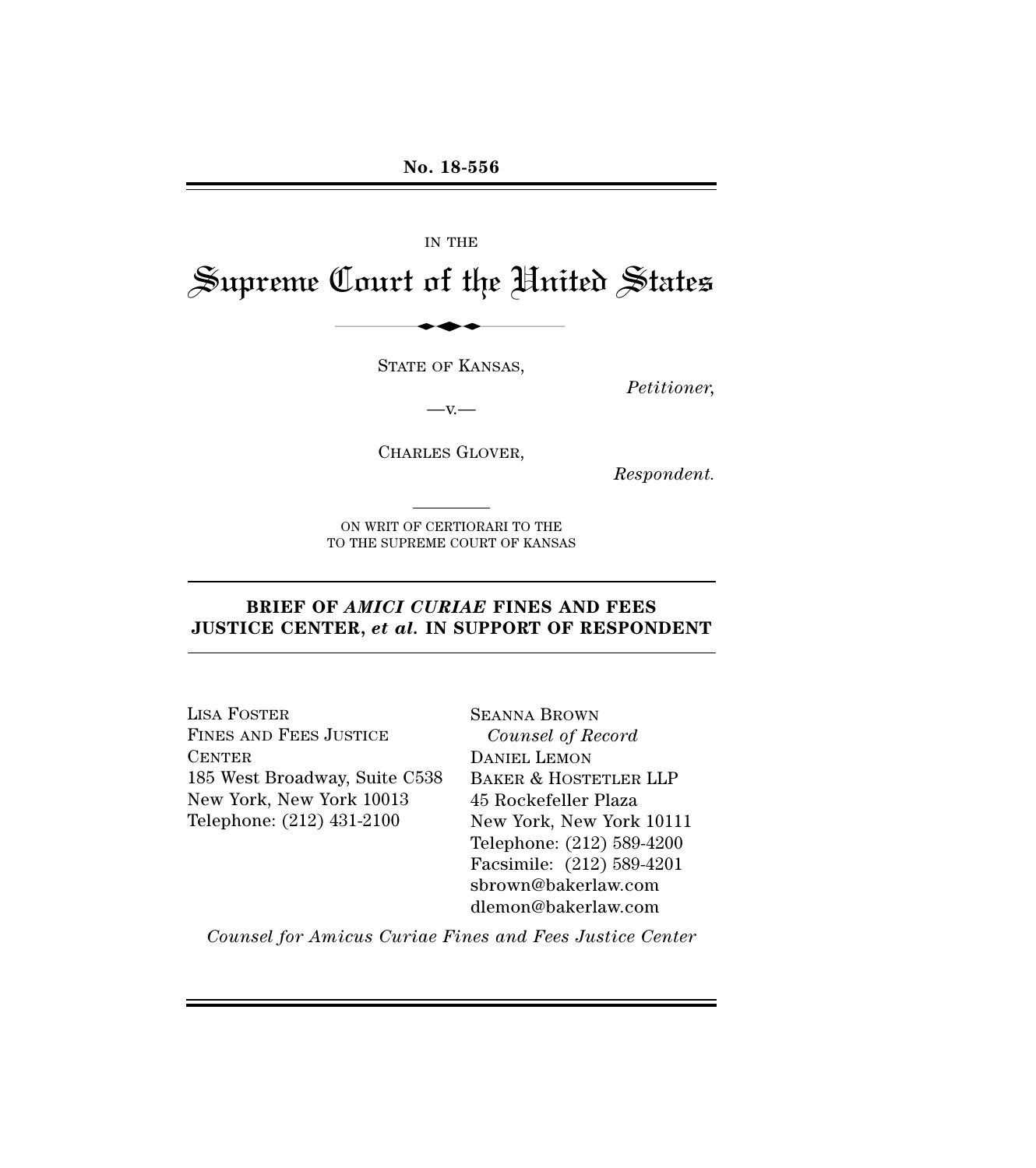# IN THE Supreme Court of the United States No. 18-556<br>IN THE<br>Lourt of the Uni

STATE OF KANSAS,

*Petitioner,*

 $-v -$ 

CHARLES GLOVER,

*Respondent.*

ON WRIT OF CERTIORARI TO THE TO THE SUPREME COURT OF KANSAS

#### **BRIEF OF** *AMICI CURIAE* **FINES AND FEES JUSTICE CENTER,** *et al.* **IN SUPPORT OF RESPONDENT**

LISA FOSTER FINES AND FEES JUSTICE **CENTER** 185 West Broadway, Suite C538 New York, New York 10013 Telephone: (212) 431-2100

SEANNA BROWN *Counsel of Record* DANIEL LEMON BAKER & HOSTETLER LLP 45 Rockefeller Plaza New York, New York 10111 Telephone: (212) 589-4200 Facsimile: (212) 589-4201 sbrown@bakerlaw.com dlemon@bakerlaw.com

*Counsel for Amicus Curiae Fines and Fees Justice Center*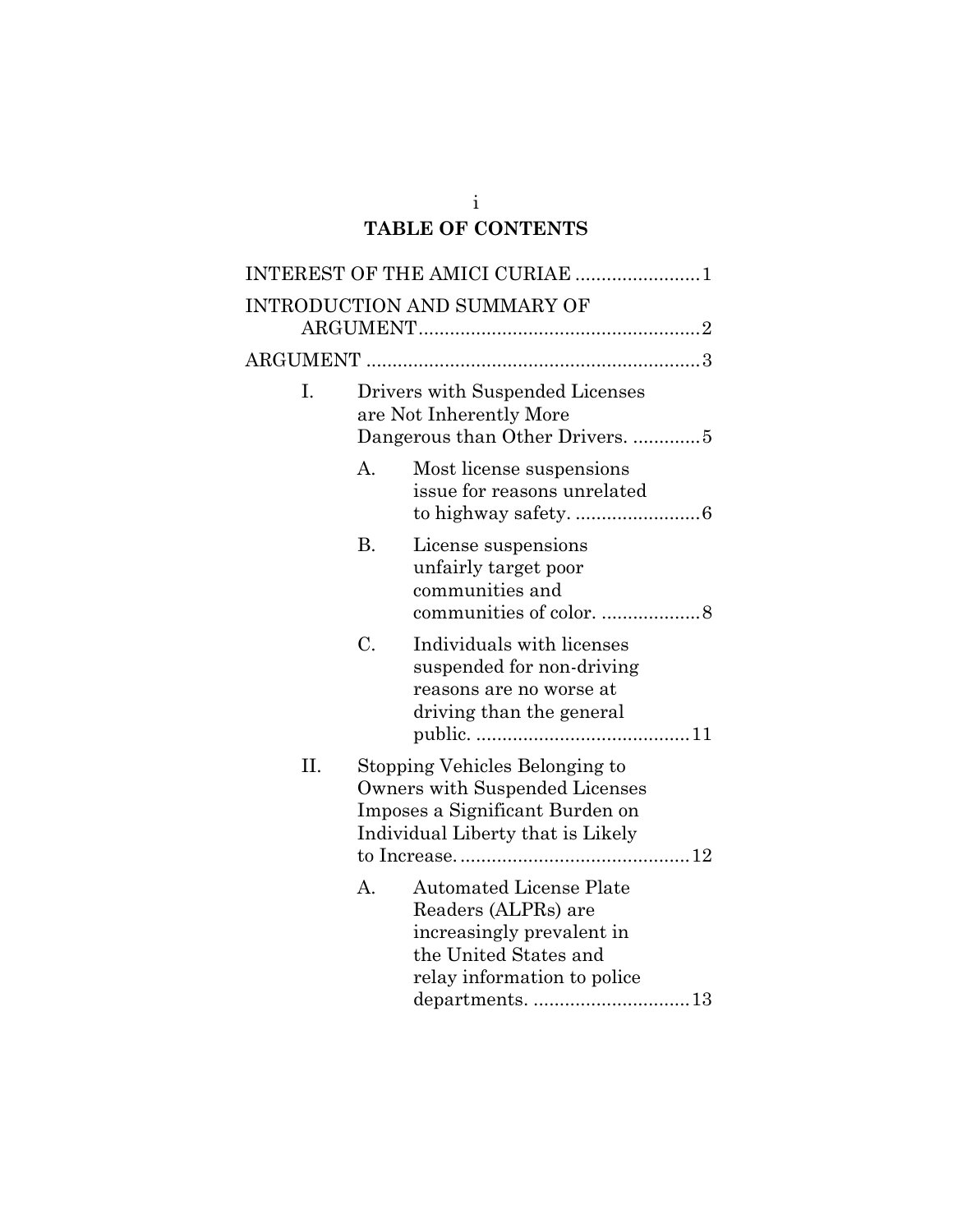### i **TABLE OF CONTENTS**

| INTEREST OF THE AMICI CURIAE 1 |                                                                                                                                          |                                                                                                                                                               |  |
|--------------------------------|------------------------------------------------------------------------------------------------------------------------------------------|---------------------------------------------------------------------------------------------------------------------------------------------------------------|--|
|                                |                                                                                                                                          | <b>INTRODUCTION AND SUMMARY OF</b>                                                                                                                            |  |
|                                |                                                                                                                                          |                                                                                                                                                               |  |
|                                |                                                                                                                                          |                                                                                                                                                               |  |
| I.                             | Drivers with Suspended Licenses<br>are Not Inherently More<br>Dangerous than Other Drivers. 5                                            |                                                                                                                                                               |  |
|                                | A.                                                                                                                                       | Most license suspensions<br>issue for reasons unrelated                                                                                                       |  |
|                                | <b>B.</b>                                                                                                                                | License suspensions<br>unfairly target poor<br>communities and<br>communities of color. 8                                                                     |  |
|                                | C.                                                                                                                                       | Individuals with licenses<br>suspended for non-driving<br>reasons are no worse at<br>driving than the general                                                 |  |
| II.                            | Stopping Vehicles Belonging to<br>Owners with Suspended Licenses<br>Imposes a Significant Burden on<br>Individual Liberty that is Likely |                                                                                                                                                               |  |
|                                | А.                                                                                                                                       | <b>Automated License Plate</b><br>Readers (ALPRs) are<br>increasingly prevalent in<br>the United States and<br>relay information to police<br>departments. 13 |  |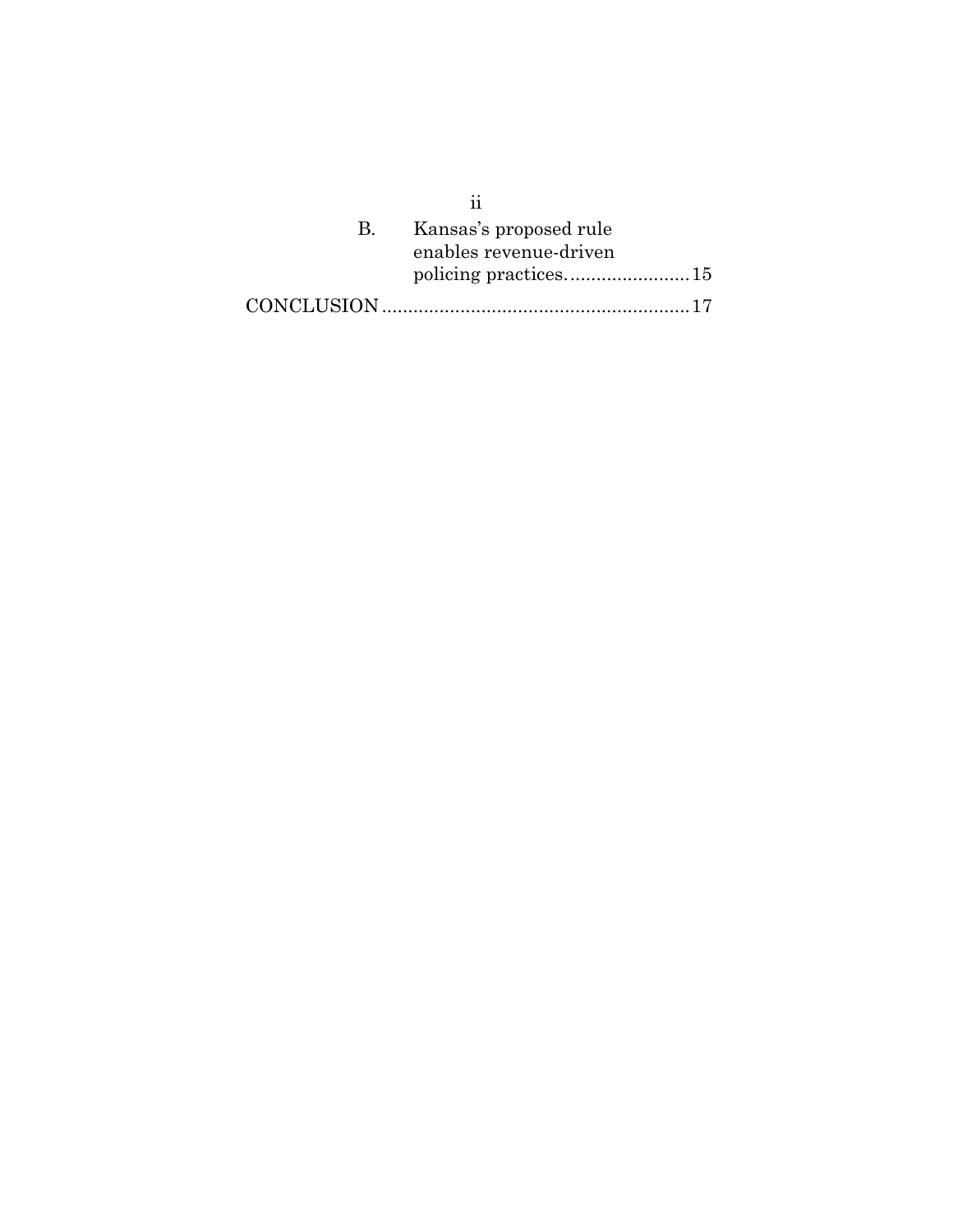|    | ij                                               |
|----|--------------------------------------------------|
| B. | Kansas's proposed rule<br>enables revenue-driven |
|    |                                                  |
|    |                                                  |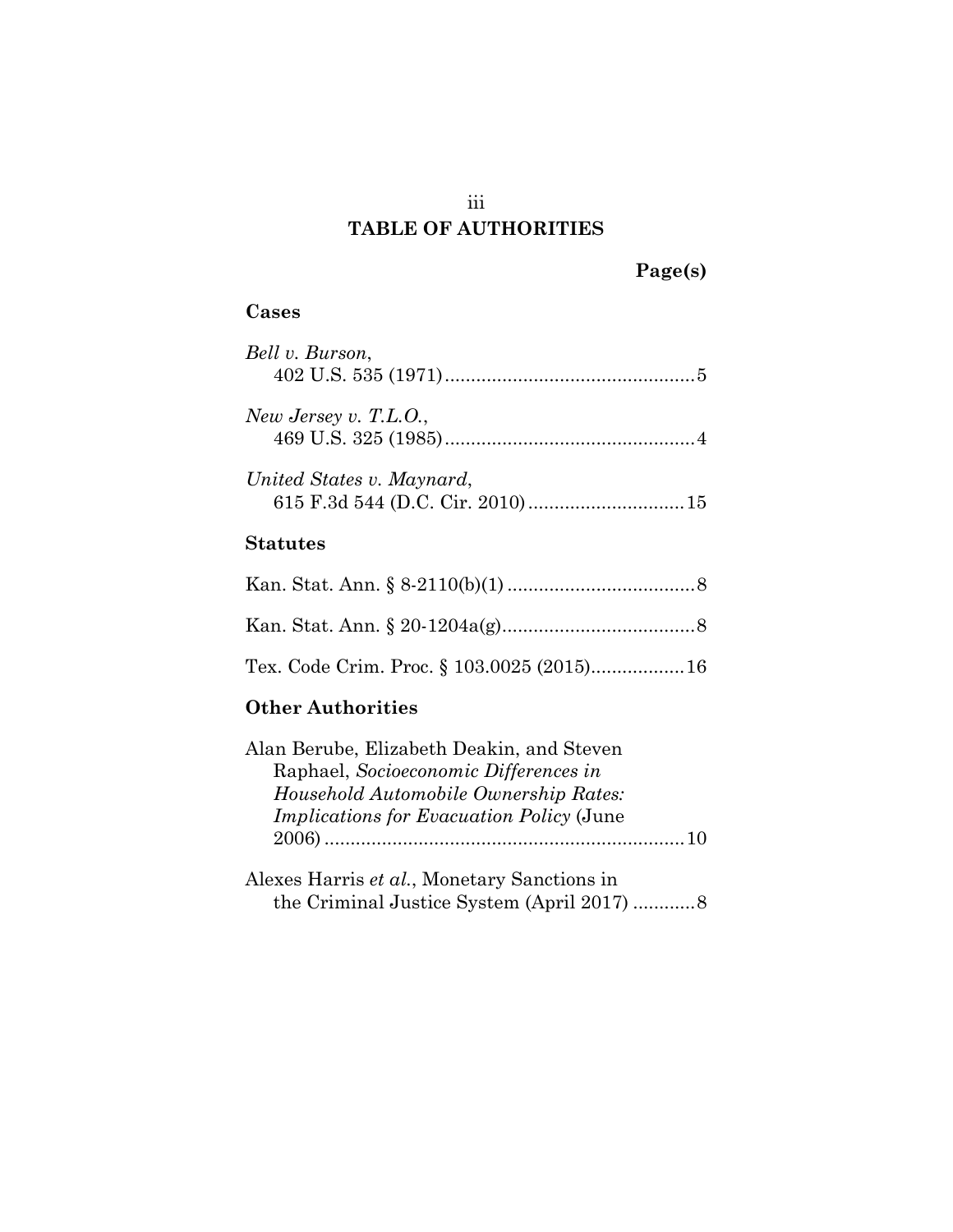## **TABLE OF AUTHORITIES**

#### **Cases**

| Bell v. Burson,           |
|---------------------------|
| New Jersey v. T.L.O.,     |
| United States v. Maynard, |
| <b>Statutes</b>           |

| Tex. Code Crim. Proc. § 103.0025 (2015) 16 |  |
|--------------------------------------------|--|

#### **Other Authorities**

| Alan Berube, Elizabeth Deakin, and Steven         |  |
|---------------------------------------------------|--|
| Raphael, Socioeconomic Differences in             |  |
| Household Automobile Ownership Rates:             |  |
| <i>Implications for Evacuation Policy (June</i> ) |  |
|                                                   |  |
|                                                   |  |

Alexes Harris *et al.*, Monetary Sanctions in the Criminal Justice System (April 2017) ............ 8

iii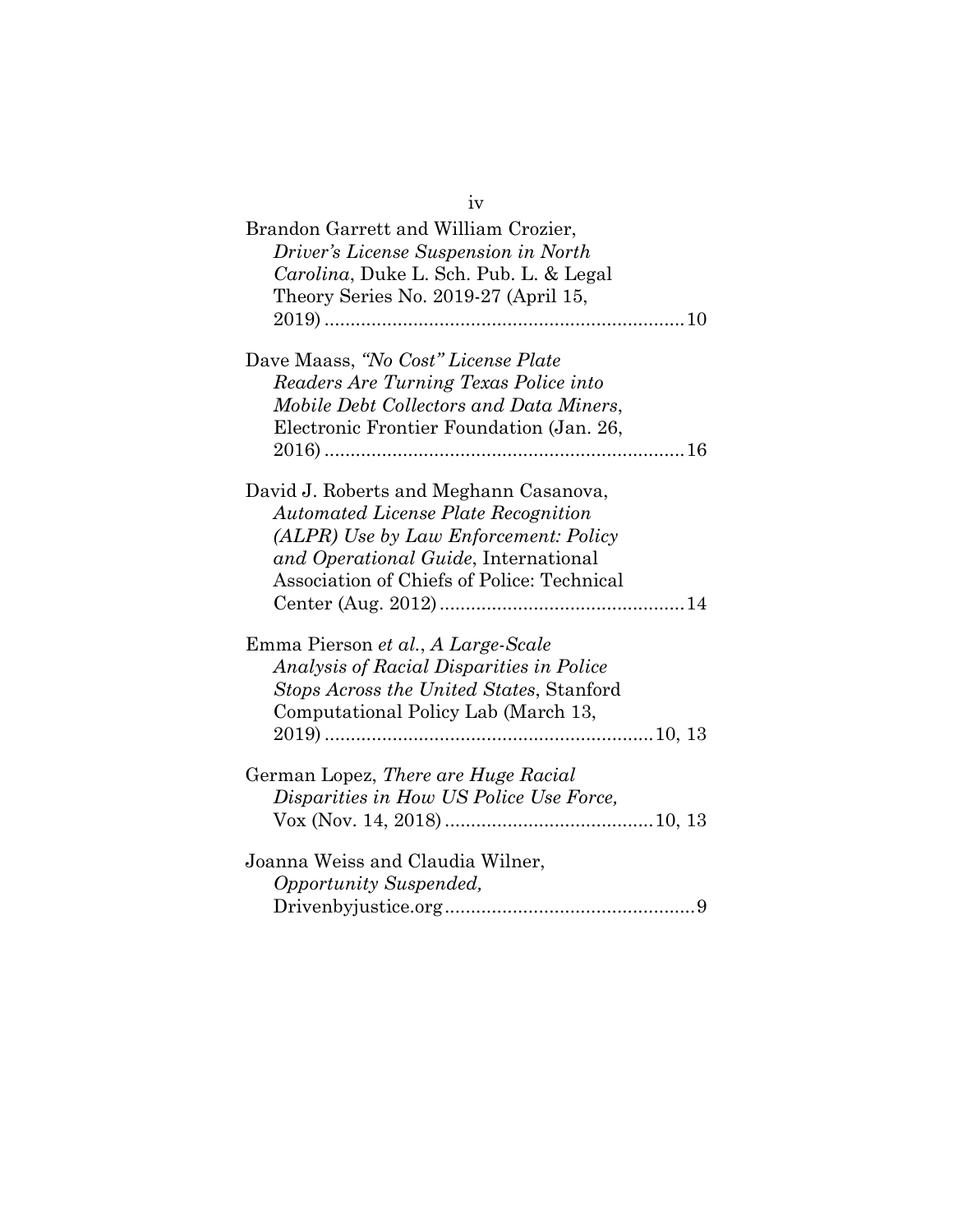| iv                                                                                                                                                                |
|-------------------------------------------------------------------------------------------------------------------------------------------------------------------|
| Brandon Garrett and William Crozier,<br>Driver's License Suspension in North                                                                                      |
| Carolina, Duke L. Sch. Pub. L. & Legal<br>Theory Series No. 2019-27 (April 15,                                                                                    |
| Dave Maass, "No Cost" License Plate<br>Readers Are Turning Texas Police into                                                                                      |
| Mobile Debt Collectors and Data Miners,<br>Electronic Frontier Foundation (Jan. 26,                                                                               |
| David J. Roberts and Meghann Casanova,<br><b>Automated License Plate Recognition</b>                                                                              |
| (ALPR) Use by Law Enforcement: Policy<br>and Operational Guide, International                                                                                     |
| Association of Chiefs of Police: Technical                                                                                                                        |
| Emma Pierson et al., A Large-Scale<br>Analysis of Racial Disparities in Police<br>Stops Across the United States, Stanford<br>Computational Policy Lab (March 13, |
|                                                                                                                                                                   |
| German Lopez, <i>There are Huge Racial</i><br>Disparities in How US Police Use Force,                                                                             |
| Joanna Weiss and Claudia Wilner,<br>Opportunity Suspended,                                                                                                        |
|                                                                                                                                                                   |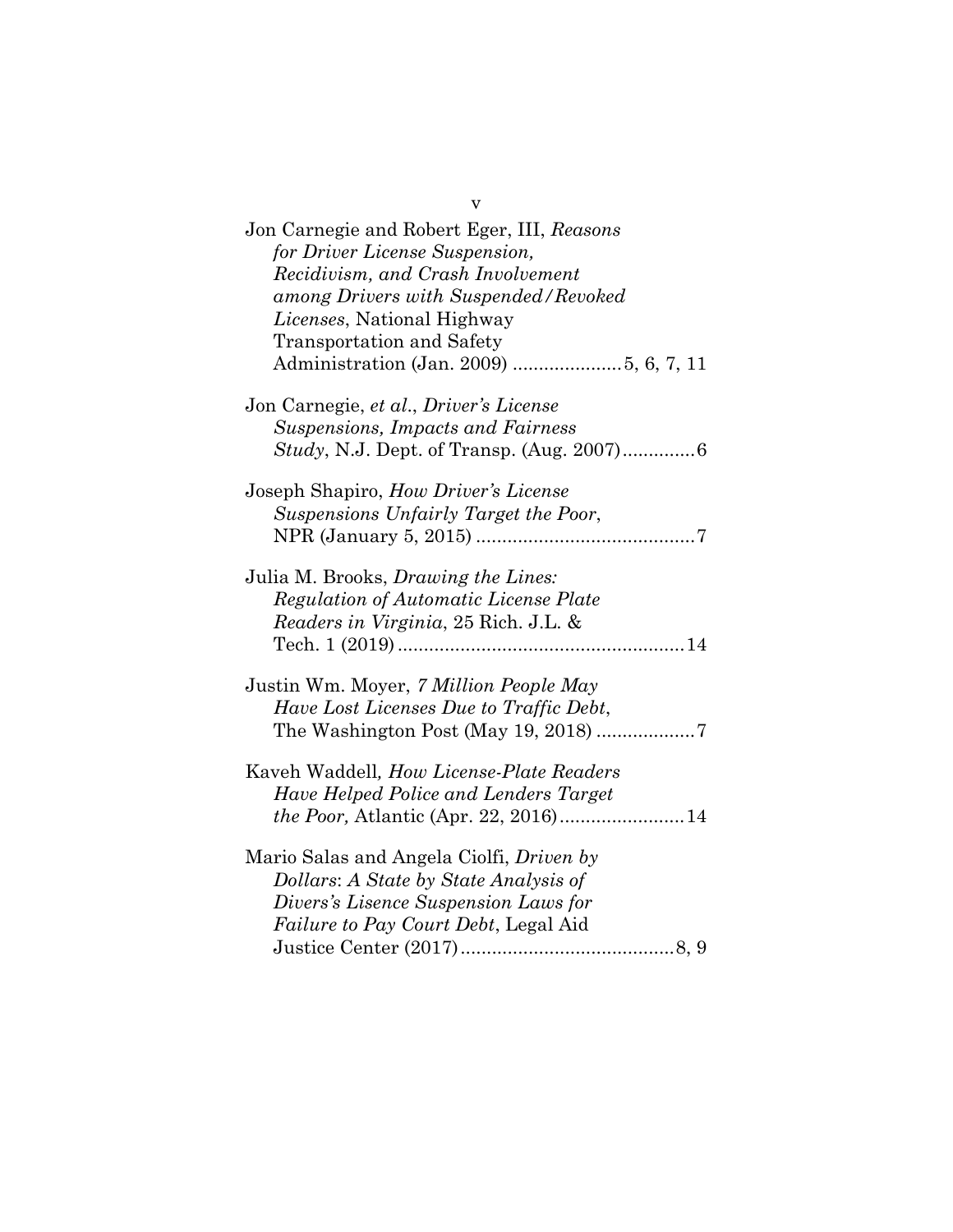| Jon Carnegie and Robert Eger, III, Reasons        |
|---------------------------------------------------|
| for Driver License Suspension,                    |
| Recidivism, and Crash Involvement                 |
| among Drivers with Suspended/Revoked              |
| Licenses, National Highway                        |
| <b>Transportation and Safety</b>                  |
| Administration (Jan. 2009) 5, 6, 7, 11            |
| Jon Carnegie, et al., Driver's License            |
| Suspensions, Impacts and Fairness                 |
| <i>Study</i> , N.J. Dept. of Transp. (Aug. 2007)6 |
| Joseph Shapiro, How Driver's License              |
| Suspensions Unfairly Target the Poor,             |
|                                                   |
| Julia M. Brooks, Drawing the Lines:               |
| Regulation of Automatic License Plate             |
| Readers in Virginia, 25 Rich. J.L. &              |
|                                                   |
|                                                   |
| Justin Wm. Moyer, 7 Million People May            |
| Have Lost Licenses Due to Traffic Debt,           |
|                                                   |
| Kaveh Waddell, How License-Plate Readers          |
| Have Helped Police and Lenders Target             |
| the Poor, Atlantic (Apr. 22, 2016) 14             |
|                                                   |
| Mario Salas and Angela Ciolfi, <i>Driven by</i>   |
| Dollars: A State by State Analysis of             |
| Divers's Lisence Suspension Laws for              |
| <i>Failure to Pay Court Debt, Legal Aid</i>       |
|                                                   |

v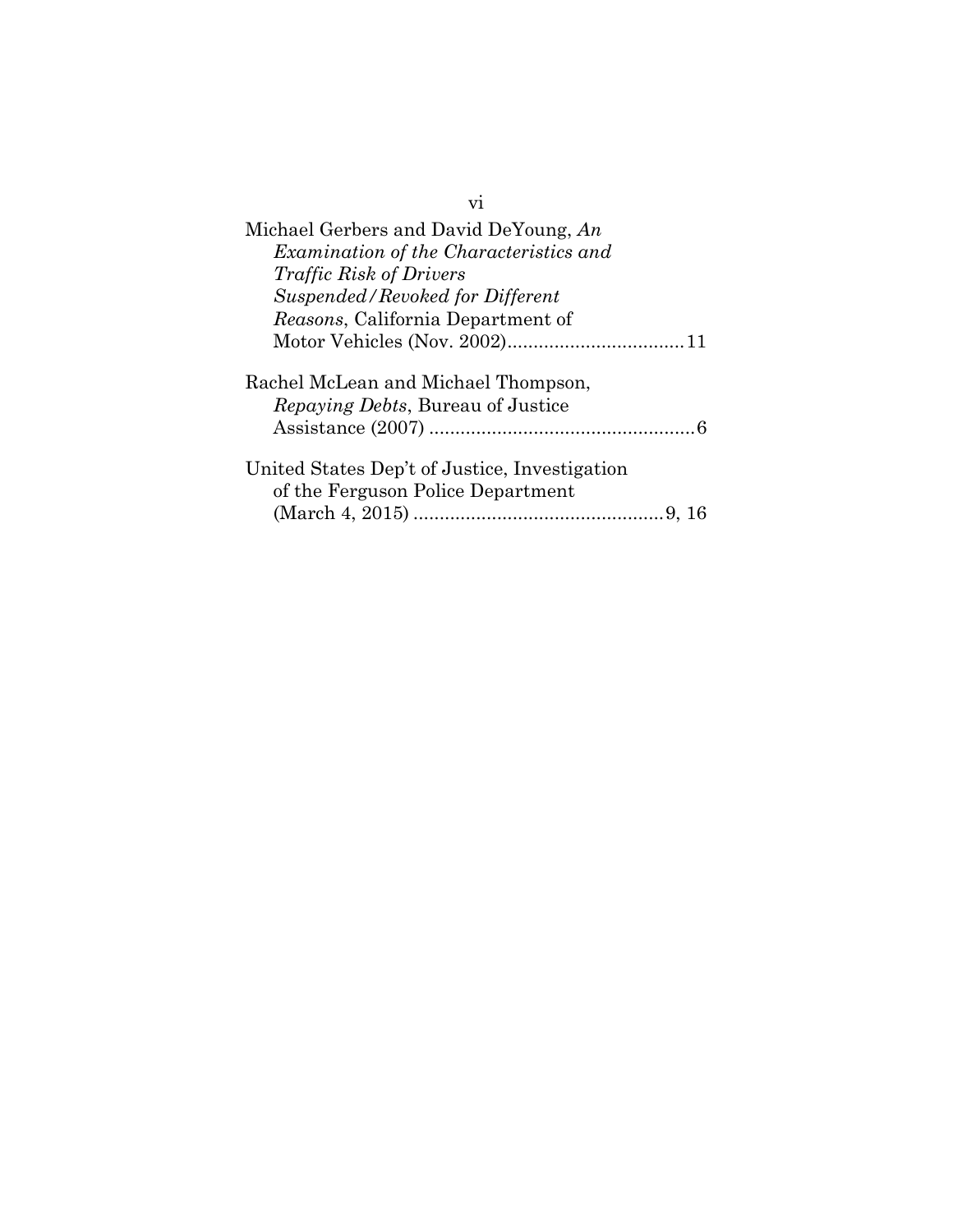| Michael Gerbers and David DeYoung, An                                              |
|------------------------------------------------------------------------------------|
| Examination of the Characteristics and                                             |
| <i>Traffic Risk of Drivers</i>                                                     |
| Suspended/Revoked for Different                                                    |
| <i>Reasons</i> , California Department of                                          |
|                                                                                    |
| Rachel McLean and Michael Thompson,                                                |
| <i>Repaying Debts, Bureau of Justice</i>                                           |
|                                                                                    |
| United States Dep't of Justice, Investigation<br>of the Ferguson Police Department |
|                                                                                    |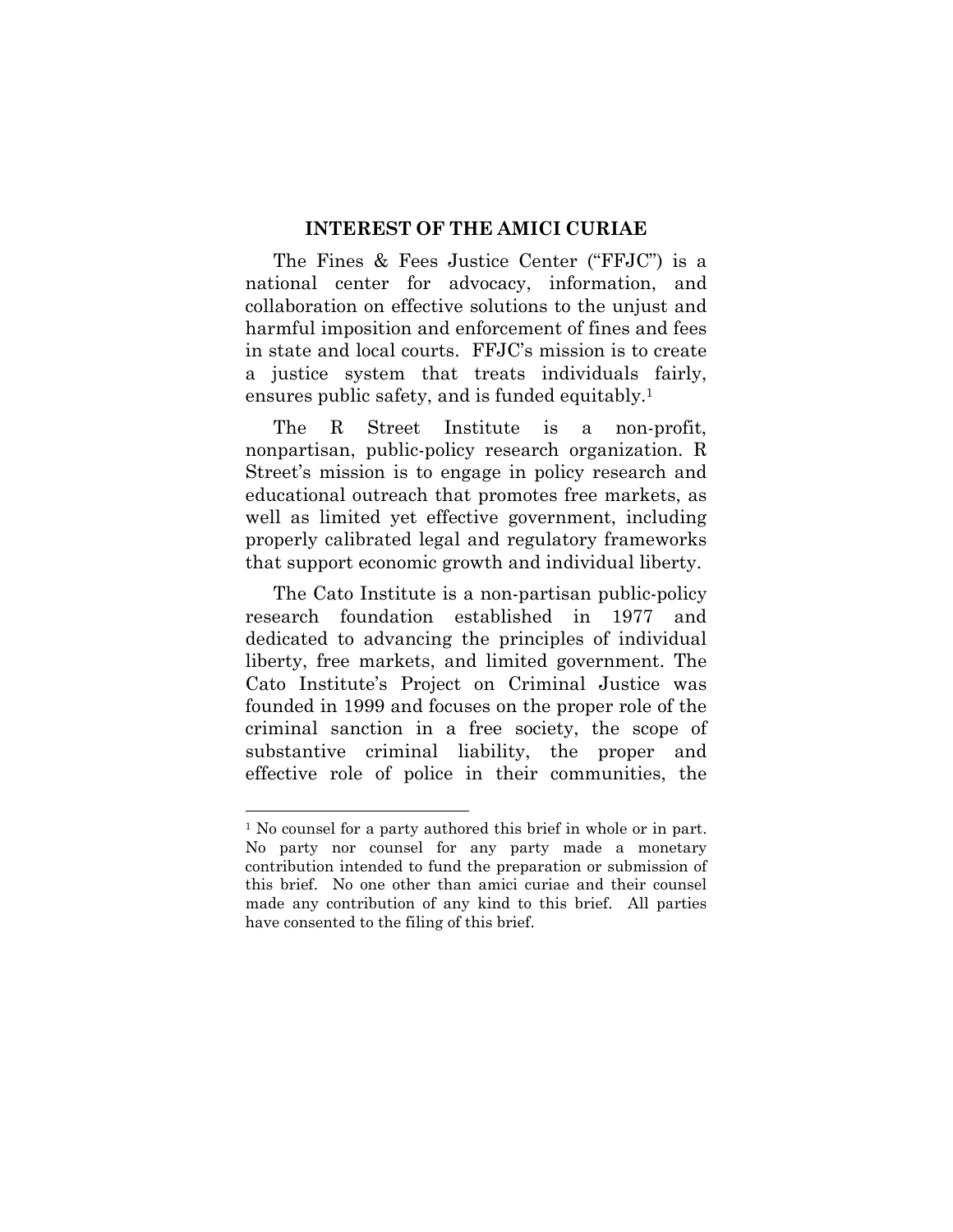#### **INTEREST OF THE AMICI CURIAE**

The Fines & Fees Justice Center ("FFJC") is a national center for advocacy, information, and collaboration on effective solutions to the unjust and harmful imposition and enforcement of fines and fees in state and local courts. FFJC's mission is to create a justice system that treats individuals fairly, ensures public safety, and is funded equitably.1

The R Street Institute is a non-profit, nonpartisan, public-policy research organization. R Street's mission is to engage in policy research and educational outreach that promotes free markets, as well as limited yet effective government, including properly calibrated legal and regulatory frameworks that support economic growth and individual liberty.

The Cato Institute is a non-partisan public-policy research foundation established in 1977 and dedicated to advancing the principles of individual liberty, free markets, and limited government. The Cato Institute's Project on Criminal Justice was founded in 1999 and focuses on the proper role of the criminal sanction in a free society, the scope of substantive criminal liability, the proper and effective role of police in their communities, the

<sup>1</sup> No counsel for a party authored this brief in whole or in part. No party nor counsel for any party made a monetary contribution intended to fund the preparation or submission of this brief. No one other than amici curiae and their counsel made any contribution of any kind to this brief. All parties have consented to the filing of this brief.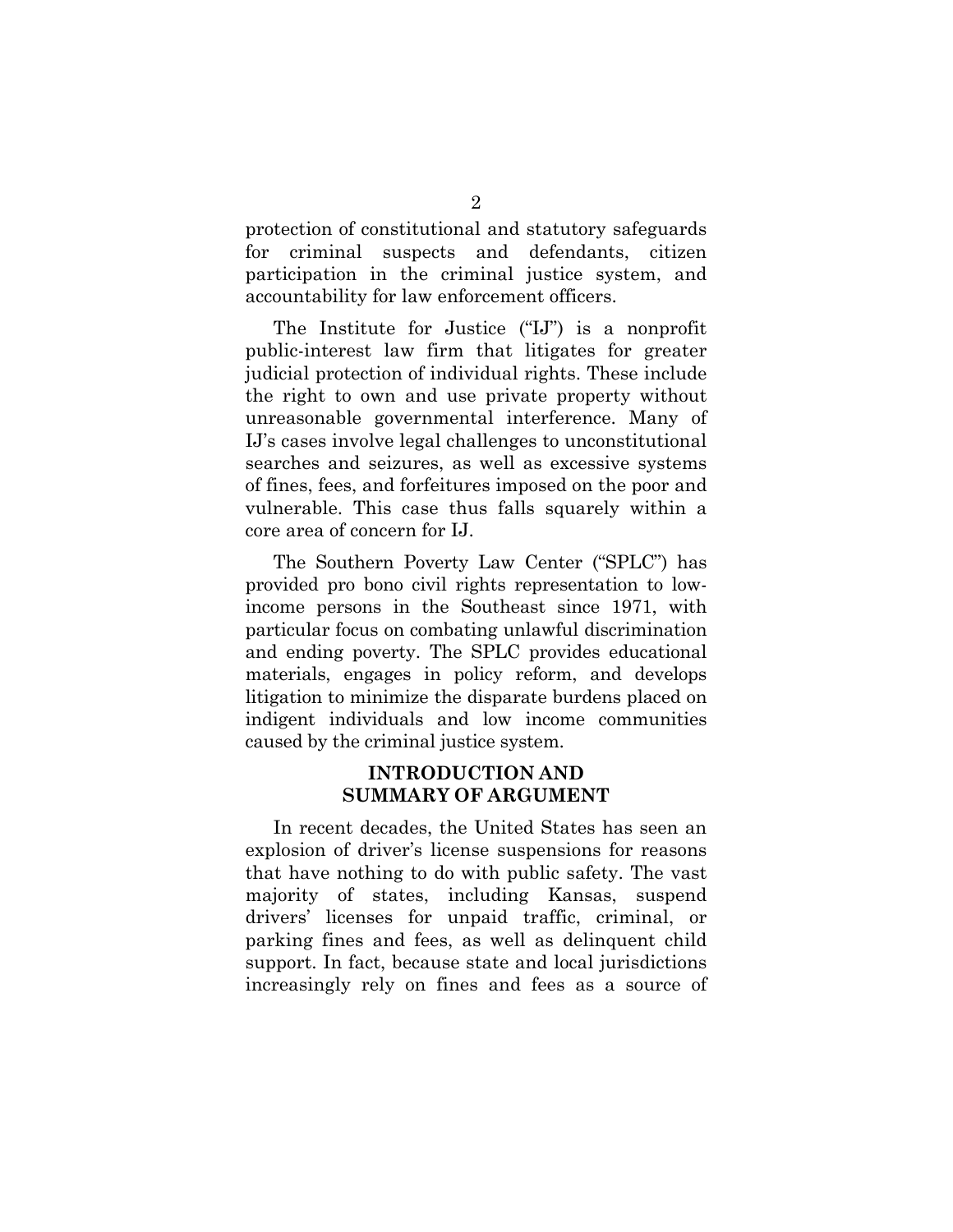protection of constitutional and statutory safeguards for criminal suspects and defendants, citizen participation in the criminal justice system, and accountability for law enforcement officers.

The Institute for Justice ("IJ") is a nonprofit public-interest law firm that litigates for greater judicial protection of individual rights. These include the right to own and use private property without unreasonable governmental interference. Many of IJ's cases involve legal challenges to unconstitutional searches and seizures, as well as excessive systems of fines, fees, and forfeitures imposed on the poor and vulnerable. This case thus falls squarely within a core area of concern for IJ.

The Southern Poverty Law Center ("SPLC") has provided pro bono civil rights representation to lowincome persons in the Southeast since 1971, with particular focus on combating unlawful discrimination and ending poverty. The SPLC provides educational materials, engages in policy reform, and develops litigation to minimize the disparate burdens placed on indigent individuals and low income communities caused by the criminal justice system.

#### **INTRODUCTION AND SUMMARY OF ARGUMENT**

In recent decades, the United States has seen an explosion of driver's license suspensions for reasons that have nothing to do with public safety. The vast majority of states, including Kansas, suspend drivers' licenses for unpaid traffic, criminal, or parking fines and fees, as well as delinquent child support. In fact, because state and local jurisdictions increasingly rely on fines and fees as a source of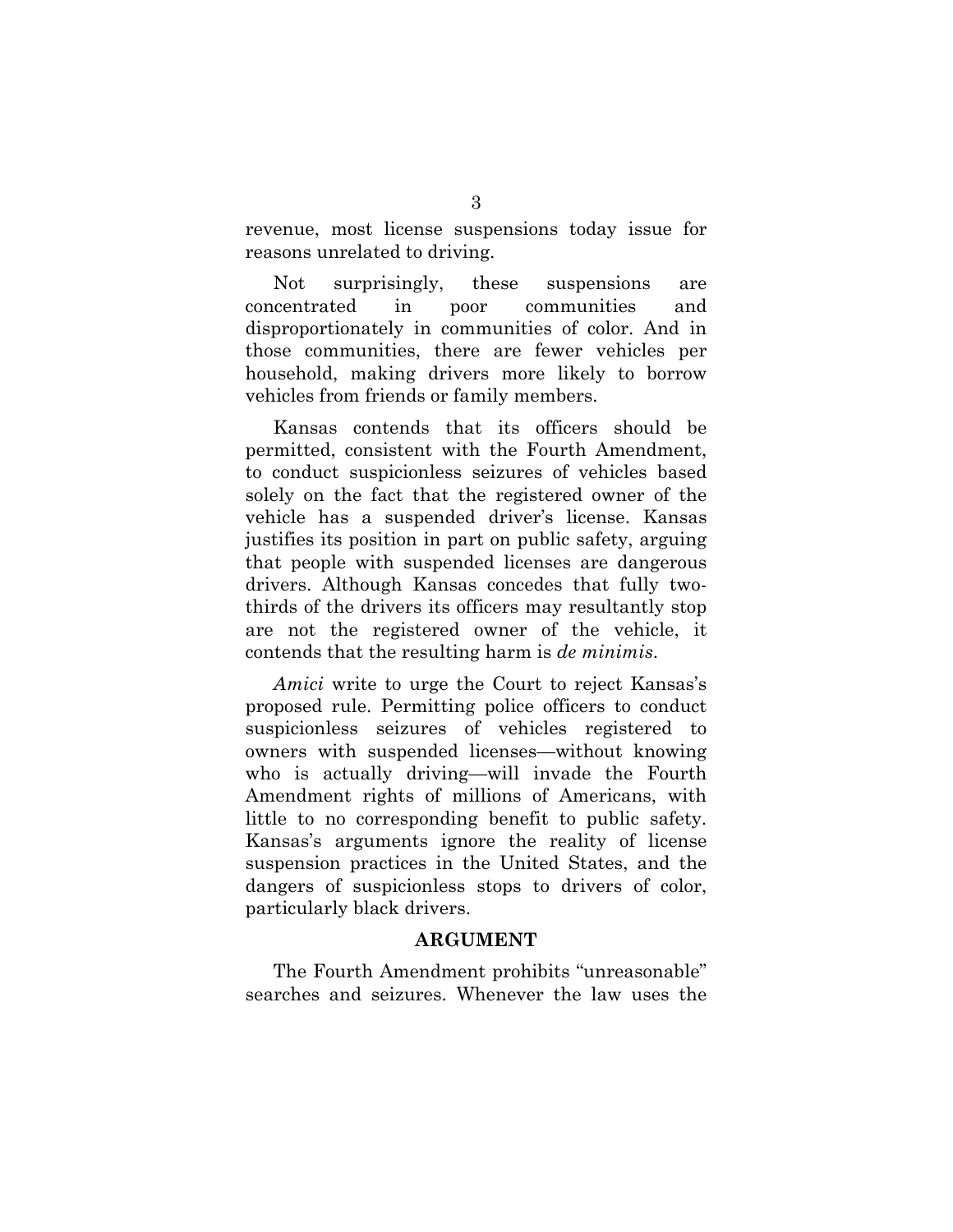revenue, most license suspensions today issue for reasons unrelated to driving.

Not surprisingly, these suspensions are concentrated in poor communities and disproportionately in communities of color. And in those communities, there are fewer vehicles per household, making drivers more likely to borrow vehicles from friends or family members.

Kansas contends that its officers should be permitted, consistent with the Fourth Amendment, to conduct suspicionless seizures of vehicles based solely on the fact that the registered owner of the vehicle has a suspended driver's license. Kansas justifies its position in part on public safety, arguing that people with suspended licenses are dangerous drivers. Although Kansas concedes that fully twothirds of the drivers its officers may resultantly stop are not the registered owner of the vehicle, it contends that the resulting harm is *de minimis*.

*Amici* write to urge the Court to reject Kansas's proposed rule. Permitting police officers to conduct suspicionless seizures of vehicles registered to owners with suspended licenses—without knowing who is actually driving—will invade the Fourth Amendment rights of millions of Americans, with little to no corresponding benefit to public safety. Kansas's arguments ignore the reality of license suspension practices in the United States, and the dangers of suspicionless stops to drivers of color, particularly black drivers.

#### **ARGUMENT**

The Fourth Amendment prohibits "unreasonable" searches and seizures. Whenever the law uses the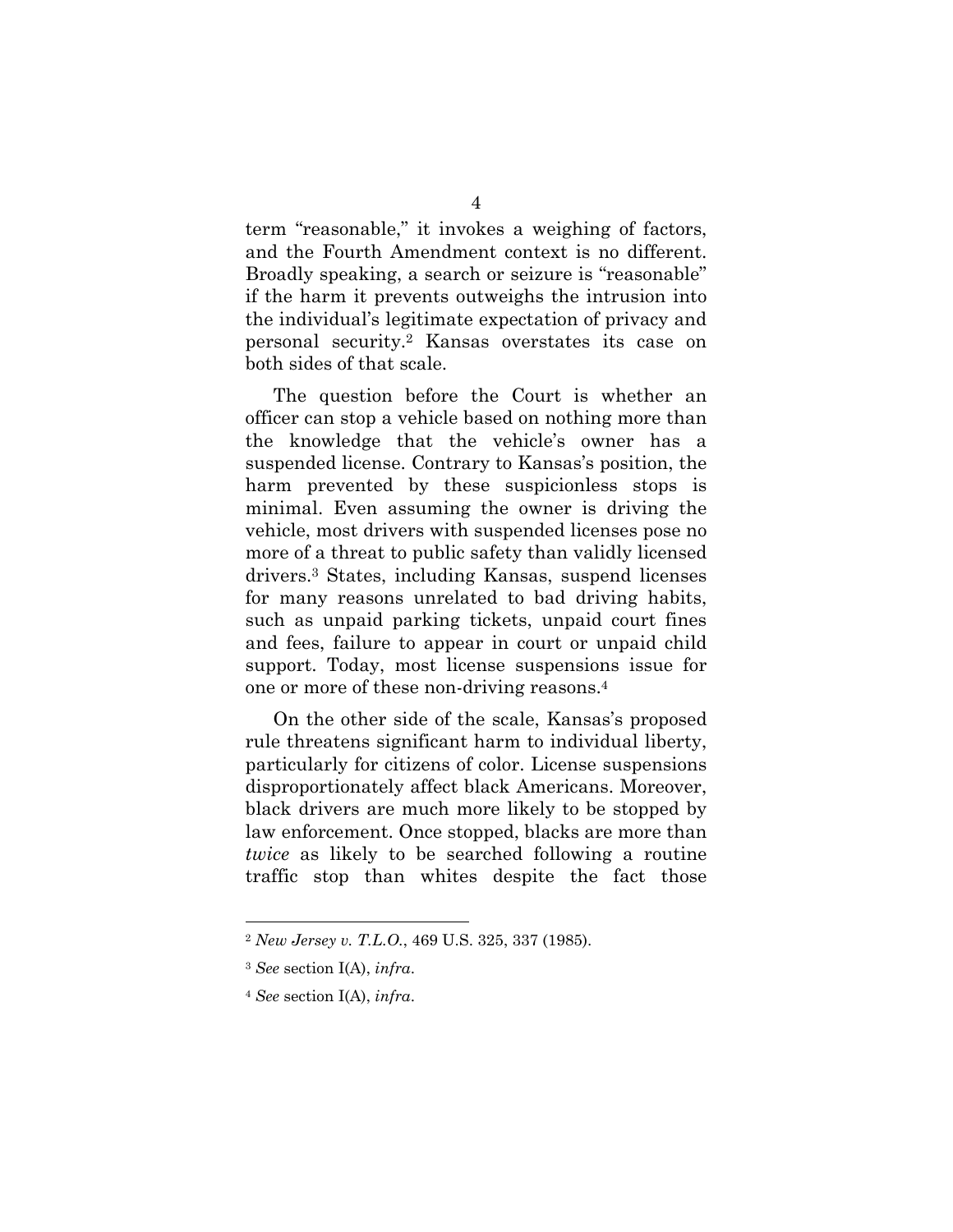term "reasonable," it invokes a weighing of factors, and the Fourth Amendment context is no different. Broadly speaking, a search or seizure is "reasonable" if the harm it prevents outweighs the intrusion into the individual's legitimate expectation of privacy and personal security.2 Kansas overstates its case on both sides of that scale.

The question before the Court is whether an officer can stop a vehicle based on nothing more than the knowledge that the vehicle's owner has a suspended license. Contrary to Kansas's position, the harm prevented by these suspicionless stops is minimal. Even assuming the owner is driving the vehicle, most drivers with suspended licenses pose no more of a threat to public safety than validly licensed drivers.3 States, including Kansas, suspend licenses for many reasons unrelated to bad driving habits, such as unpaid parking tickets, unpaid court fines and fees, failure to appear in court or unpaid child support. Today, most license suspensions issue for one or more of these non-driving reasons.4

On the other side of the scale, Kansas's proposed rule threatens significant harm to individual liberty, particularly for citizens of color. License suspensions disproportionately affect black Americans. Moreover, black drivers are much more likely to be stopped by law enforcement. Once stopped, blacks are more than *twice* as likely to be searched following a routine traffic stop than whites despite the fact those

<sup>2</sup> *New Jersey v. T.L.O.*, 469 U.S. 325, 337 (1985).

<sup>3</sup> *See* section I(A), *infra*.

<sup>4</sup> *See* section I(A), *infra*.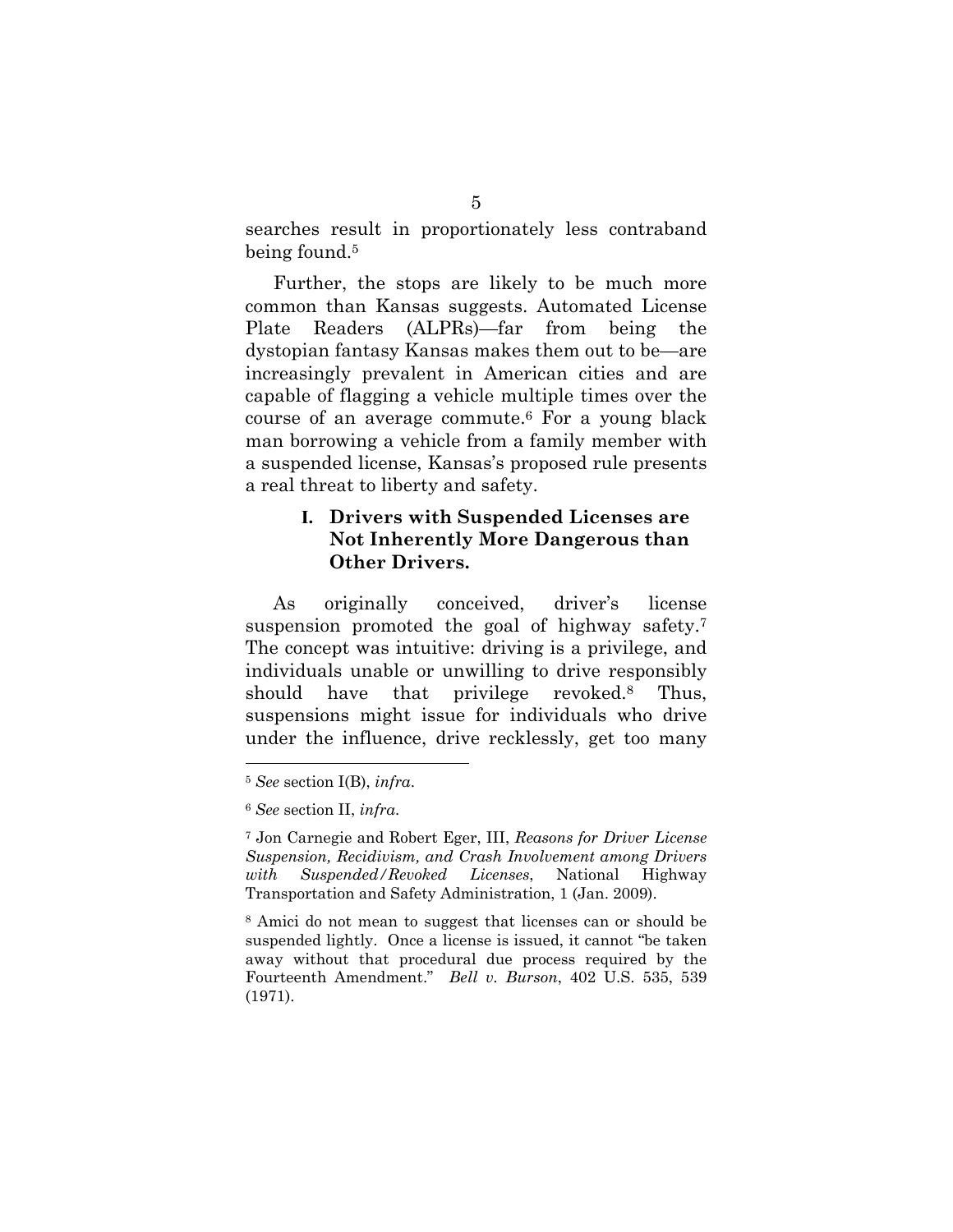searches result in proportionately less contraband being found.<sup>5</sup>

Further, the stops are likely to be much more common than Kansas suggests. Automated License Plate Readers (ALPRs)—far from being the dystopian fantasy Kansas makes them out to be—are increasingly prevalent in American cities and are capable of flagging a vehicle multiple times over the course of an average commute.6 For a young black man borrowing a vehicle from a family member with a suspended license, Kansas's proposed rule presents a real threat to liberty and safety.

#### **I. Drivers with Suspended Licenses are Not Inherently More Dangerous than Other Drivers.**

As originally conceived, driver's license suspension promoted the goal of highway safety.7 The concept was intuitive: driving is a privilege, and individuals unable or unwilling to drive responsibly should have that privilege revoked.8 Thus, suspensions might issue for individuals who drive under the influence, drive recklessly, get too many

<sup>5</sup> *See* section I(B), *infra*.

<sup>6</sup> *See* section II, *infra*.

<sup>7</sup> Jon Carnegie and Robert Eger, III, *Reasons for Driver License Suspension, Recidivism, and Crash Involvement among Drivers with Suspended/Revoked Licenses*, National Highway Transportation and Safety Administration, 1 (Jan. 2009).

<sup>8</sup> Amici do not mean to suggest that licenses can or should be suspended lightly. Once a license is issued, it cannot "be taken away without that procedural due process required by the Fourteenth Amendment." *Bell v. Burson*, 402 U.S. 535, 539 (1971).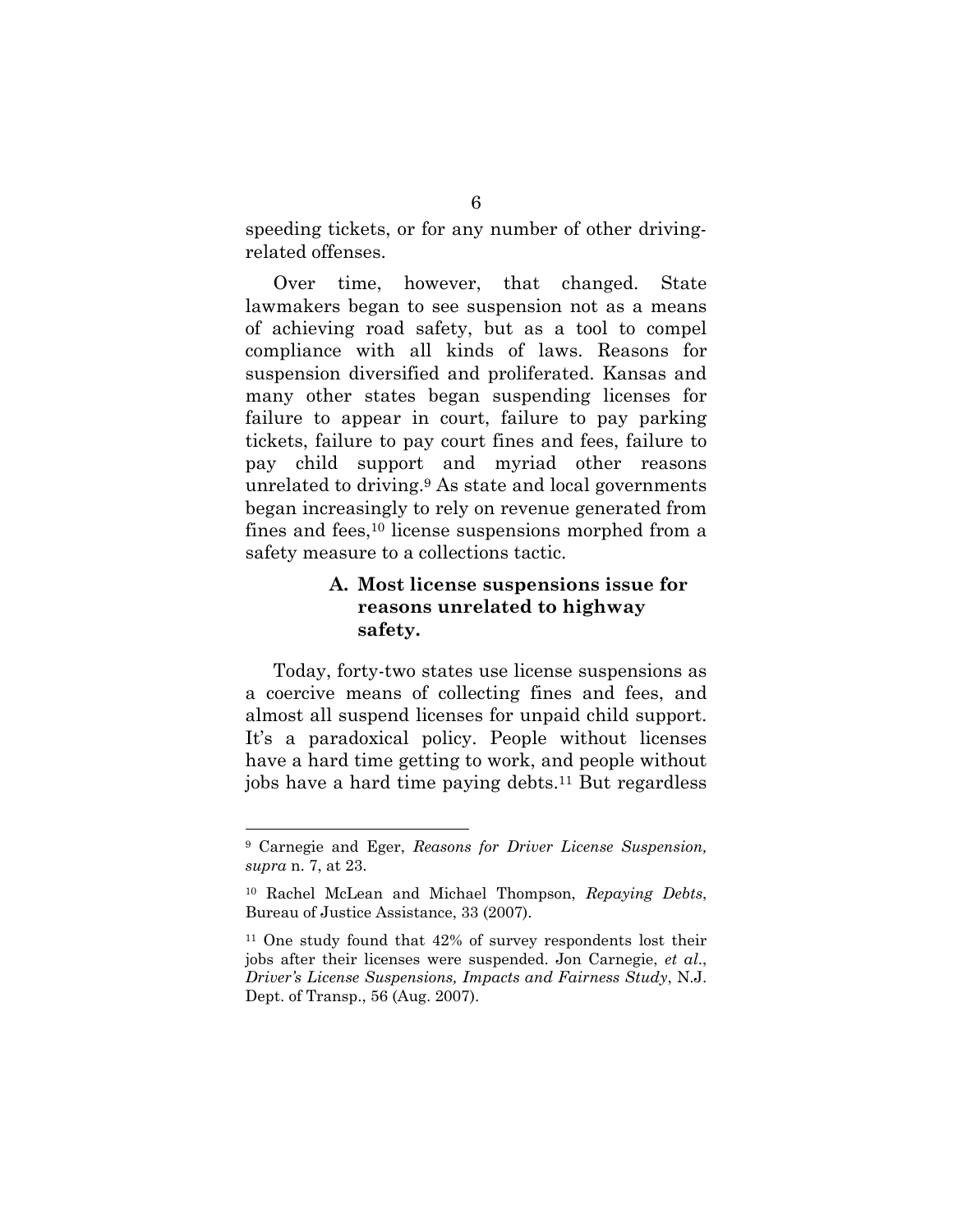speeding tickets, or for any number of other drivingrelated offenses.

Over time, however, that changed. State lawmakers began to see suspension not as a means of achieving road safety, but as a tool to compel compliance with all kinds of laws. Reasons for suspension diversified and proliferated. Kansas and many other states began suspending licenses for failure to appear in court, failure to pay parking tickets, failure to pay court fines and fees, failure to pay child support and myriad other reasons unrelated to driving.9 As state and local governments began increasingly to rely on revenue generated from fines and fees,10 license suspensions morphed from a safety measure to a collections tactic.

#### **A. Most license suspensions issue for reasons unrelated to highway safety.**

Today, forty-two states use license suspensions as a coercive means of collecting fines and fees, and almost all suspend licenses for unpaid child support. It's a paradoxical policy. People without licenses have a hard time getting to work, and people without jobs have a hard time paying debts.11 But regardless

<sup>9</sup> Carnegie and Eger, *Reasons for Driver License Suspension, supra* n. 7, at 23.

<sup>10</sup> Rachel McLean and Michael Thompson, *Repaying Debts*, Bureau of Justice Assistance, 33 (2007).

<sup>11</sup> One study found that 42% of survey respondents lost their jobs after their licenses were suspended. Jon Carnegie, *et al*., *Driver's License Suspensions, Impacts and Fairness Study*, N.J. Dept. of Transp., 56 (Aug. 2007).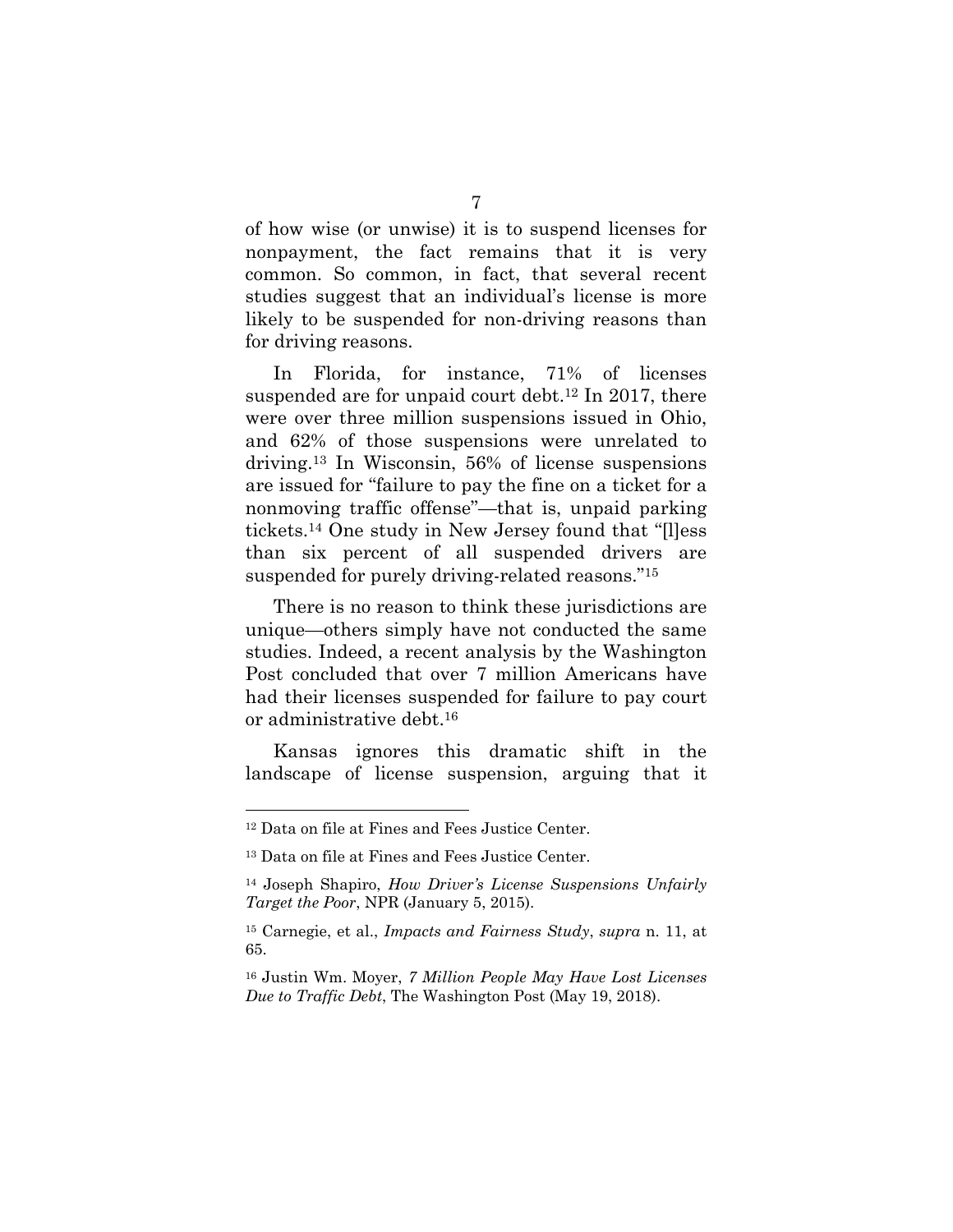of how wise (or unwise) it is to suspend licenses for nonpayment, the fact remains that it is very common. So common, in fact, that several recent studies suggest that an individual's license is more likely to be suspended for non-driving reasons than for driving reasons.

In Florida, for instance, 71% of licenses suspended are for unpaid court debt.12 In 2017, there were over three million suspensions issued in Ohio, and 62% of those suspensions were unrelated to driving.13 In Wisconsin, 56% of license suspensions are issued for "failure to pay the fine on a ticket for a nonmoving traffic offense"—that is, unpaid parking tickets.14 One study in New Jersey found that "[l]ess than six percent of all suspended drivers are suspended for purely driving-related reasons."15

There is no reason to think these jurisdictions are unique—others simply have not conducted the same studies. Indeed, a recent analysis by the Washington Post concluded that over 7 million Americans have had their licenses suspended for failure to pay court or administrative debt.16

Kansas ignores this dramatic shift in the landscape of license suspension, arguing that it

<sup>&</sup>lt;sup>12</sup> Data on file at Fines and Fees Justice Center.

<sup>13</sup> Data on file at Fines and Fees Justice Center.

<sup>14</sup> Joseph Shapiro, *How Driver's License Suspensions Unfairly Target the Poor*, NPR (January 5, 2015).

<sup>15</sup> Carnegie, et al., *Impacts and Fairness Study*, *supra* n. 11, at 65.

<sup>16</sup> Justin Wm. Moyer, *7 Million People May Have Lost Licenses Due to Traffic Debt*, The Washington Post (May 19, 2018).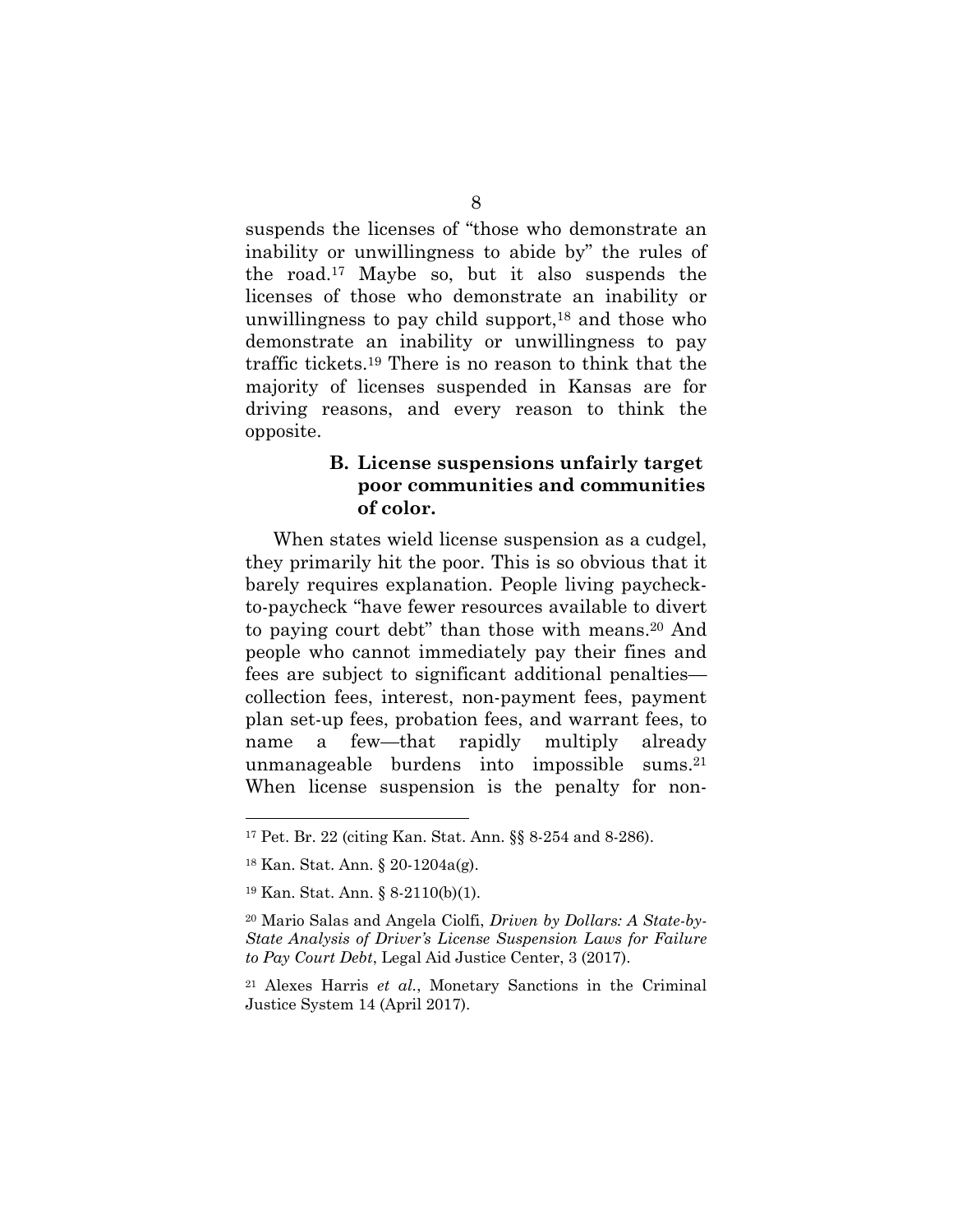suspends the licenses of "those who demonstrate an inability or unwillingness to abide by" the rules of the road.17 Maybe so, but it also suspends the licenses of those who demonstrate an inability or unwillingness to pay child support, $18$  and those who demonstrate an inability or unwillingness to pay traffic tickets.19 There is no reason to think that the majority of licenses suspended in Kansas are for driving reasons, and every reason to think the opposite.

#### **B. License suspensions unfairly target poor communities and communities of color.**

When states wield license suspension as a cudgel, they primarily hit the poor. This is so obvious that it barely requires explanation. People living paycheckto-paycheck "have fewer resources available to divert to paying court debt" than those with means.20 And people who cannot immediately pay their fines and fees are subject to significant additional penalties collection fees, interest, non-payment fees, payment plan set-up fees, probation fees, and warrant fees, to name a few—that rapidly multiply already unmanageable burdens into impossible sums.21 When license suspension is the penalty for non-

<sup>17</sup> Pet. Br. 22 (citing Kan. Stat. Ann. §§ 8-254 and 8-286).

<sup>18</sup> Kan. Stat. Ann. § 20-1204a(g).

<sup>19</sup> Kan. Stat. Ann. § 8-2110(b)(1).

<sup>20</sup> Mario Salas and Angela Ciolfi, *Driven by Dollars: A State-by-State Analysis of Driver's License Suspension Laws for Failure to Pay Court Debt*, Legal Aid Justice Center, 3 (2017).

<sup>21</sup> Alexes Harris *et al.*, Monetary Sanctions in the Criminal Justice System 14 (April 2017).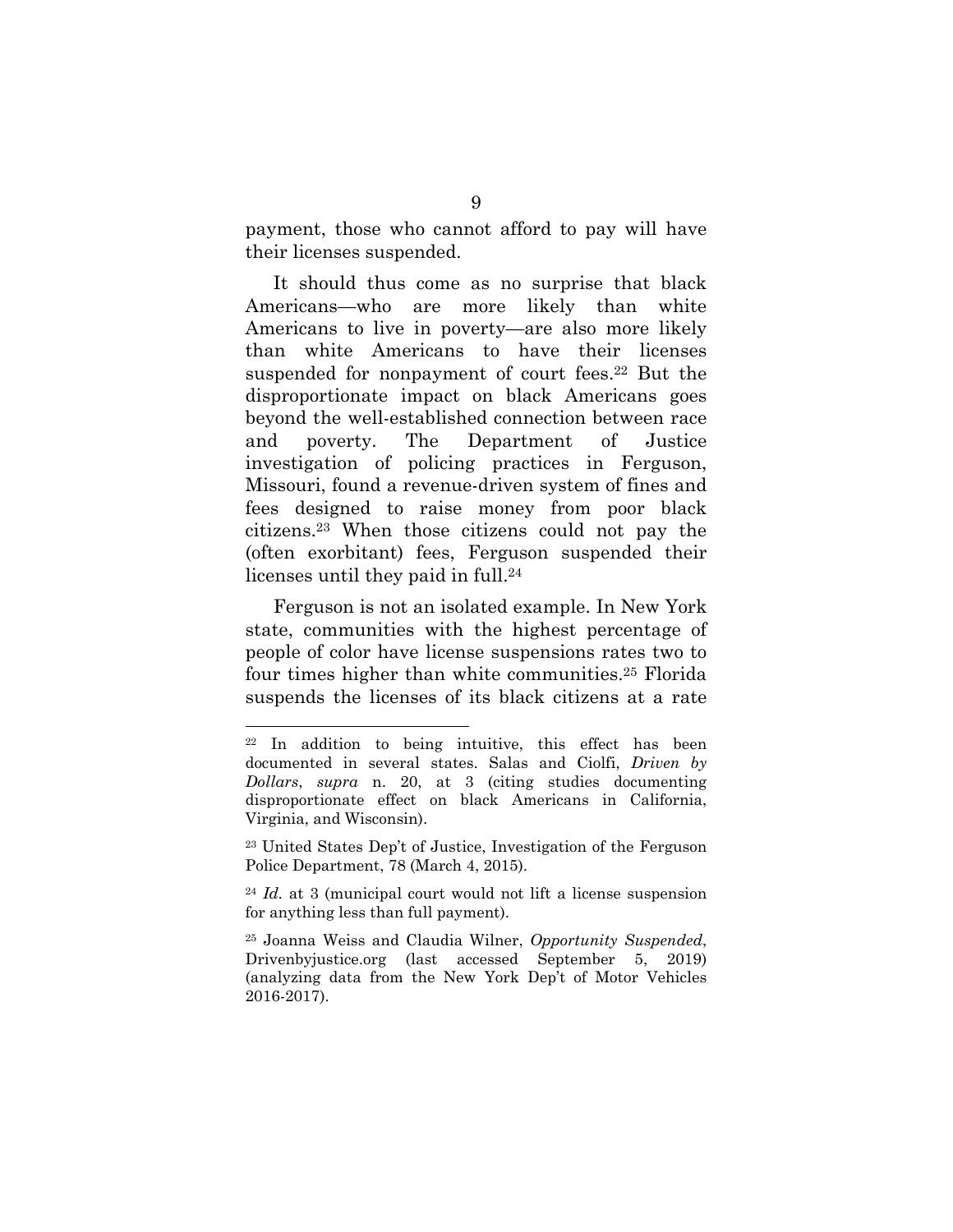payment, those who cannot afford to pay will have their licenses suspended.

It should thus come as no surprise that black Americans—who are more likely than white Americans to live in poverty—are also more likely than white Americans to have their licenses suspended for nonpayment of court fees.22 But the disproportionate impact on black Americans goes beyond the well-established connection between race and poverty. The Department of Justice investigation of policing practices in Ferguson, Missouri, found a revenue-driven system of fines and fees designed to raise money from poor black citizens.23 When those citizens could not pay the (often exorbitant) fees, Ferguson suspended their licenses until they paid in full.<sup>24</sup>

Ferguson is not an isolated example. In New York state, communities with the highest percentage of people of color have license suspensions rates two to four times higher than white communities.25 Florida suspends the licenses of its black citizens at a rate

<sup>22</sup> In addition to being intuitive, this effect has been documented in several states. Salas and Ciolfi, *Driven by Dollars*, *supra* n. 20, at 3 (citing studies documenting disproportionate effect on black Americans in California, Virginia, and Wisconsin).

<sup>23</sup> United States Dep't of Justice, Investigation of the Ferguson Police Department, 78 (March 4, 2015).

<sup>24</sup> *Id.* at 3 (municipal court would not lift a license suspension for anything less than full payment).

<sup>25</sup> Joanna Weiss and Claudia Wilner, *Opportunity Suspended*, Drivenbyjustice.org (last accessed September 5, 2019) (analyzing data from the New York Dep't of Motor Vehicles 2016-2017).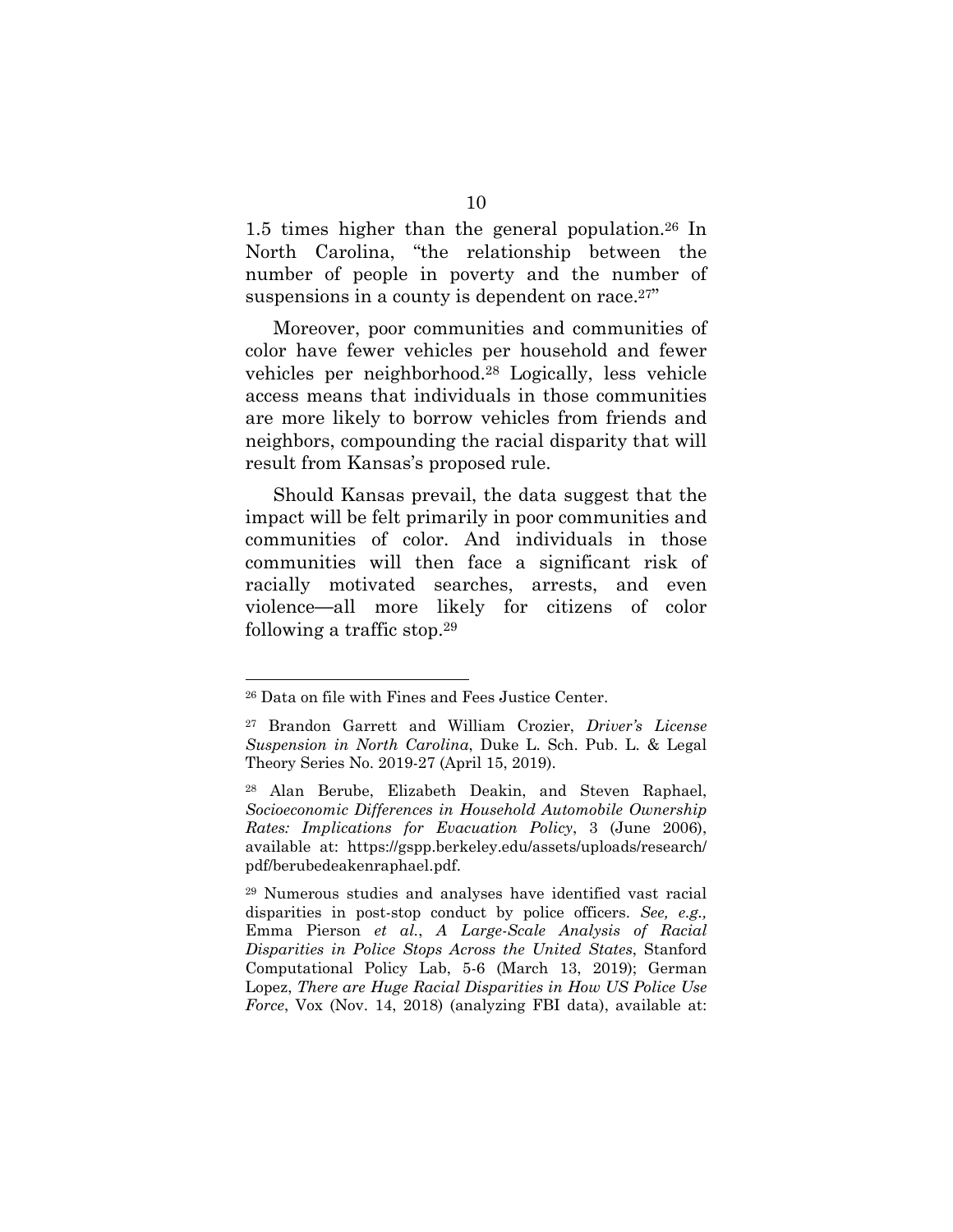1.5 times higher than the general population.26 In North Carolina, "the relationship between the number of people in poverty and the number of suspensions in a county is dependent on race.<sup>27"</sup>

Moreover, poor communities and communities of color have fewer vehicles per household and fewer vehicles per neighborhood.28 Logically, less vehicle access means that individuals in those communities are more likely to borrow vehicles from friends and neighbors, compounding the racial disparity that will result from Kansas's proposed rule.

Should Kansas prevail, the data suggest that the impact will be felt primarily in poor communities and communities of color. And individuals in those communities will then face a significant risk of racially motivated searches, arrests, and even violence—all more likely for citizens of color following a traffic stop.29

<sup>26</sup> Data on file with Fines and Fees Justice Center.

<sup>27</sup> Brandon Garrett and William Crozier, *Driver's License Suspension in North Carolina*, Duke L. Sch. Pub. L. & Legal Theory Series No. 2019-27 (April 15, 2019).

<sup>28</sup> Alan Berube, Elizabeth Deakin, and Steven Raphael, *Socioeconomic Differences in Household Automobile Ownership Rates: Implications for Evacuation Policy*, 3 (June 2006), available at: https://gspp.berkeley.edu/assets/uploads/research/ pdf/berubedeakenraphael.pdf.

<sup>29</sup> Numerous studies and analyses have identified vast racial disparities in post-stop conduct by police officers. *See, e.g.,*  Emma Pierson *et al.*, *A Large-Scale Analysis of Racial Disparities in Police Stops Across the United States*, Stanford Computational Policy Lab, 5-6 (March 13, 2019); German Lopez, *There are Huge Racial Disparities in How US Police Use Force*, Vox (Nov. 14, 2018) (analyzing FBI data), available at: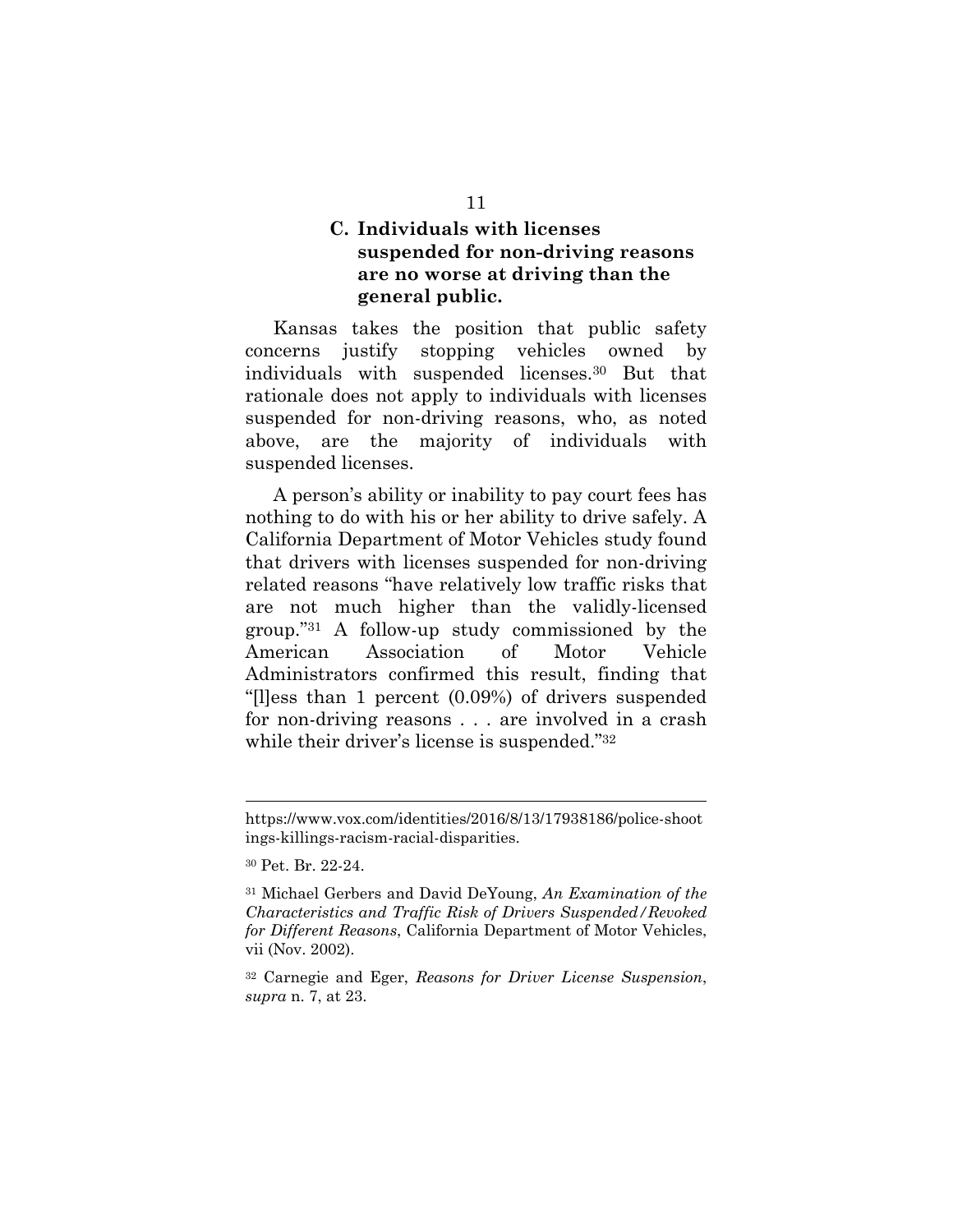#### **C. Individuals with licenses suspended for non-driving reasons are no worse at driving than the general public.**

Kansas takes the position that public safety concerns justify stopping vehicles owned by individuals with suspended licenses.30 But that rationale does not apply to individuals with licenses suspended for non-driving reasons, who, as noted above, are the majority of individuals with suspended licenses.

A person's ability or inability to pay court fees has nothing to do with his or her ability to drive safely. A California Department of Motor Vehicles study found that drivers with licenses suspended for non-driving related reasons "have relatively low traffic risks that are not much higher than the validly-licensed group."31 A follow-up study commissioned by the American Association of Motor Vehicle Administrators confirmed this result, finding that "[l]ess than 1 percent (0.09%) of drivers suspended for non-driving reasons . . . are involved in a crash while their driver's license is suspended."<sup>32</sup>

https://www.vox.com/identities/2016/8/13/17938186/police-shoot ings-killings-racism-racial-disparities.

<sup>30</sup> Pet. Br. 22-24.

<sup>31</sup> Michael Gerbers and David DeYoung, *An Examination of the Characteristics and Traffic Risk of Drivers Suspended/Revoked for Different Reasons*, California Department of Motor Vehicles, vii (Nov. 2002).

<sup>32</sup> Carnegie and Eger, *Reasons for Driver License Suspension*, *supra* n. 7, at 23.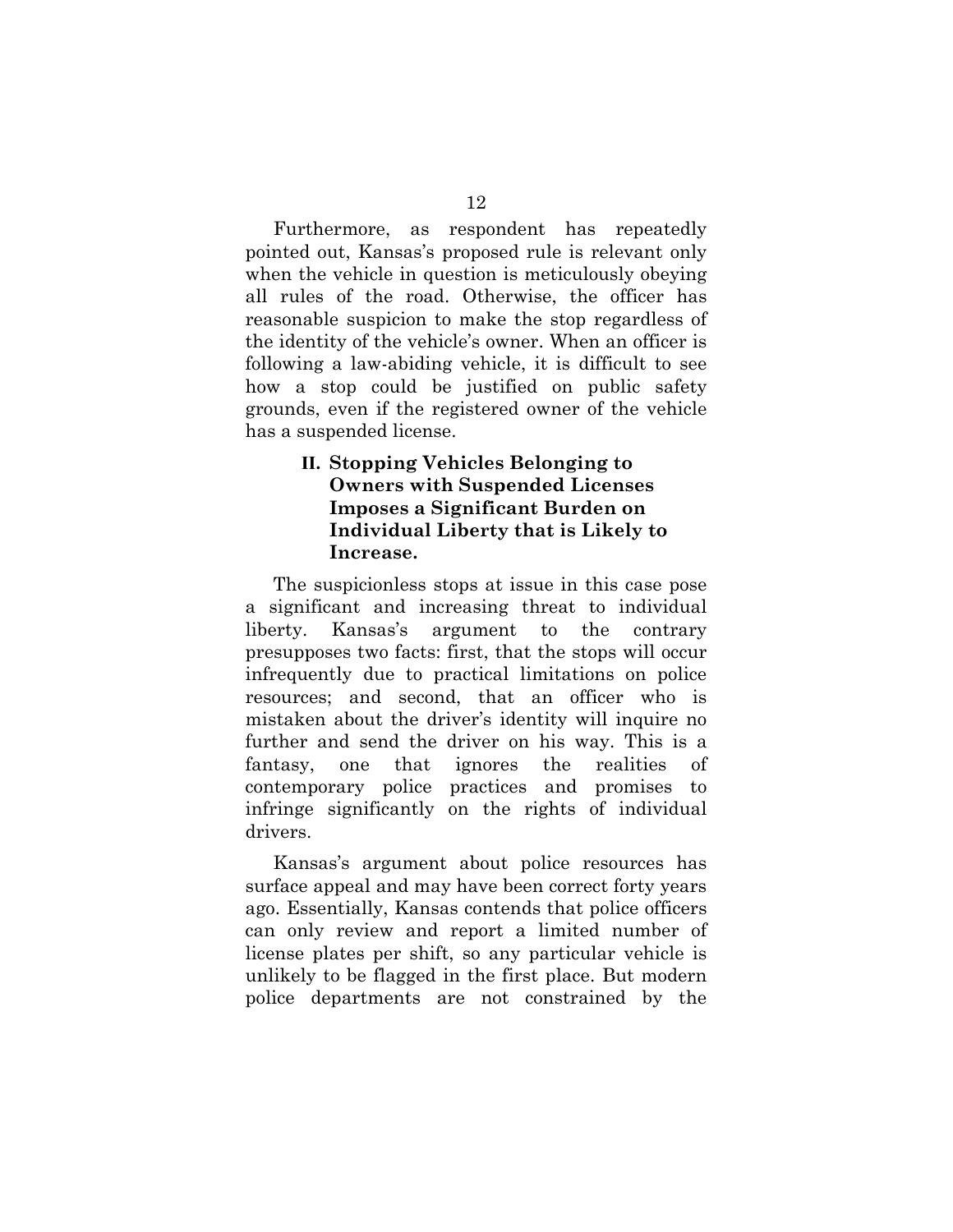Furthermore, as respondent has repeatedly pointed out, Kansas's proposed rule is relevant only when the vehicle in question is meticulously obeying all rules of the road. Otherwise, the officer has reasonable suspicion to make the stop regardless of the identity of the vehicle's owner. When an officer is following a law-abiding vehicle, it is difficult to see how a stop could be justified on public safety grounds, even if the registered owner of the vehicle has a suspended license.

#### **II. Stopping Vehicles Belonging to Owners with Suspended Licenses Imposes a Significant Burden on Individual Liberty that is Likely to Increase.**

The suspicionless stops at issue in this case pose a significant and increasing threat to individual liberty. Kansas's argument to the contrary presupposes two facts: first, that the stops will occur infrequently due to practical limitations on police resources; and second, that an officer who is mistaken about the driver's identity will inquire no further and send the driver on his way. This is a fantasy, one that ignores the realities of contemporary police practices and promises to infringe significantly on the rights of individual drivers.

Kansas's argument about police resources has surface appeal and may have been correct forty years ago. Essentially, Kansas contends that police officers can only review and report a limited number of license plates per shift, so any particular vehicle is unlikely to be flagged in the first place. But modern police departments are not constrained by the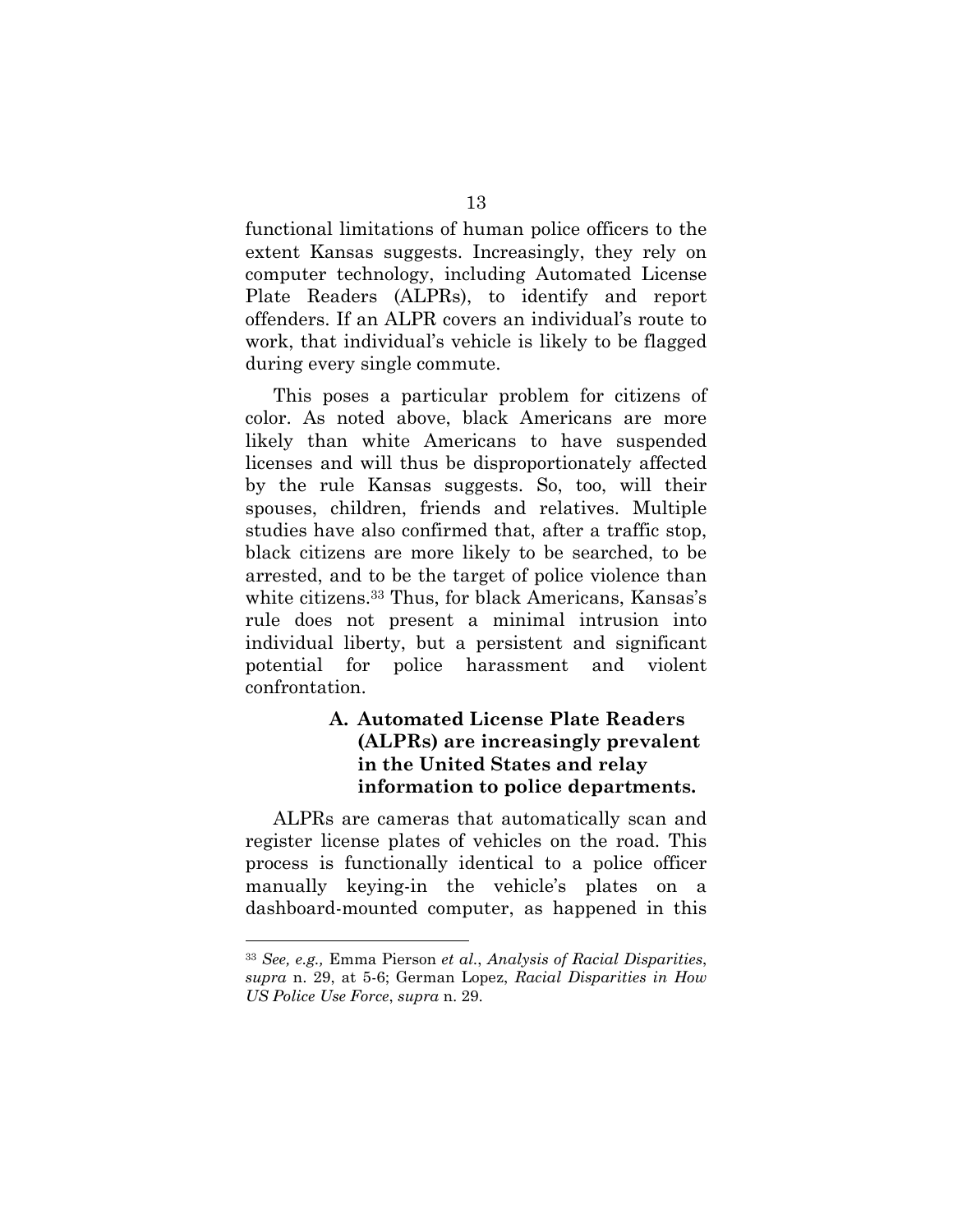functional limitations of human police officers to the extent Kansas suggests. Increasingly, they rely on computer technology, including Automated License Plate Readers (ALPRs), to identify and report offenders. If an ALPR covers an individual's route to work, that individual's vehicle is likely to be flagged during every single commute.

This poses a particular problem for citizens of color. As noted above, black Americans are more likely than white Americans to have suspended licenses and will thus be disproportionately affected by the rule Kansas suggests. So, too, will their spouses, children, friends and relatives. Multiple studies have also confirmed that, after a traffic stop, black citizens are more likely to be searched, to be arrested, and to be the target of police violence than white citizens.33 Thus, for black Americans, Kansas's rule does not present a minimal intrusion into individual liberty, but a persistent and significant potential for police harassment and violent confrontation.

#### **A. Automated License Plate Readers (ALPRs) are increasingly prevalent in the United States and relay information to police departments.**

ALPRs are cameras that automatically scan and register license plates of vehicles on the road. This process is functionally identical to a police officer manually keying-in the vehicle's plates on a dashboard-mounted computer, as happened in this

<sup>33</sup> *See, e.g.,* Emma Pierson *et al.*, *Analysis of Racial Disparities*, *supra* n. 29, at 5-6; German Lopez, *Racial Disparities in How US Police Use Force*, *supra* n. 29.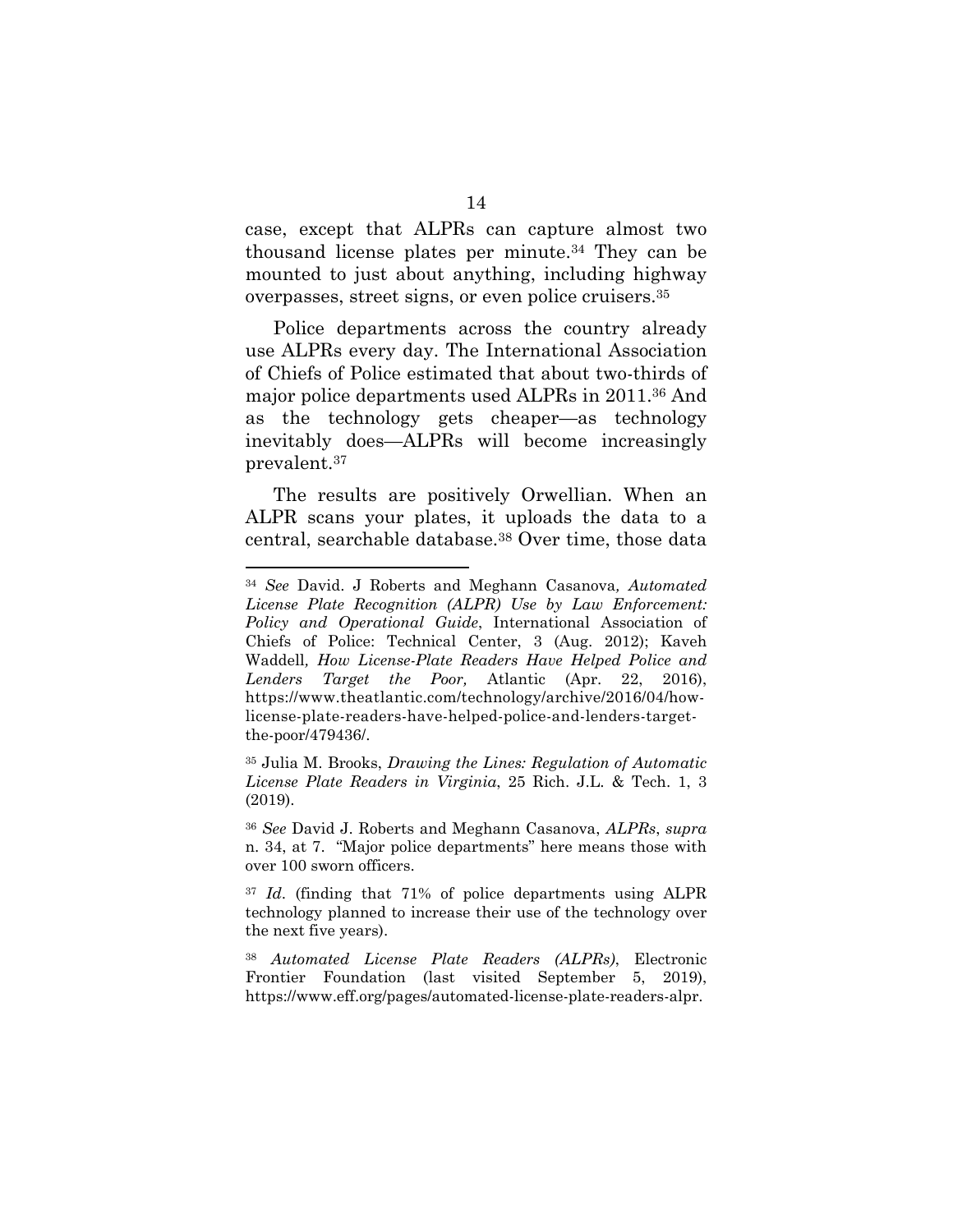case, except that ALPRs can capture almost two thousand license plates per minute.34 They can be mounted to just about anything, including highway overpasses, street signs, or even police cruisers.35

Police departments across the country already use ALPRs every day. The International Association of Chiefs of Police estimated that about two-thirds of major police departments used ALPRs in 2011.36 And as the technology gets cheaper—as technology inevitably does—ALPRs will become increasingly prevalent.37

The results are positively Orwellian. When an ALPR scans your plates, it uploads the data to a central, searchable database.38 Over time, those data

35 Julia M. Brooks, *Drawing the Lines: Regulation of Automatic License Plate Readers in Virginia*, 25 Rich. J.L. & Tech. 1, 3 (2019).

<sup>36</sup> *See* David J. Roberts and Meghann Casanova, *ALPRs*, *supra*  n. 34, at 7. "Major police departments" here means those with over 100 sworn officers.

<sup>37</sup> *Id*. (finding that 71% of police departments using ALPR technology planned to increase their use of the technology over the next five years).

<sup>38</sup> *Automated License Plate Readers (ALPRs)*, Electronic Frontier Foundation (last visited September 5, 2019), https://www.eff.org/pages/automated-license-plate-readers-alpr.

<sup>34</sup> *See* David. J Roberts and Meghann Casanova*, Automated License Plate Recognition (ALPR) Use by Law Enforcement: Policy and Operational Guide*, International Association of Chiefs of Police: Technical Center, 3 (Aug. 2012); Kaveh Waddell*, How License-Plate Readers Have Helped Police and Lenders Target the Poor,* Atlantic (Apr. 22, 2016), https://www.theatlantic.com/technology/archive/2016/04/howlicense-plate-readers-have-helped-police-and-lenders-targetthe-poor/479436/.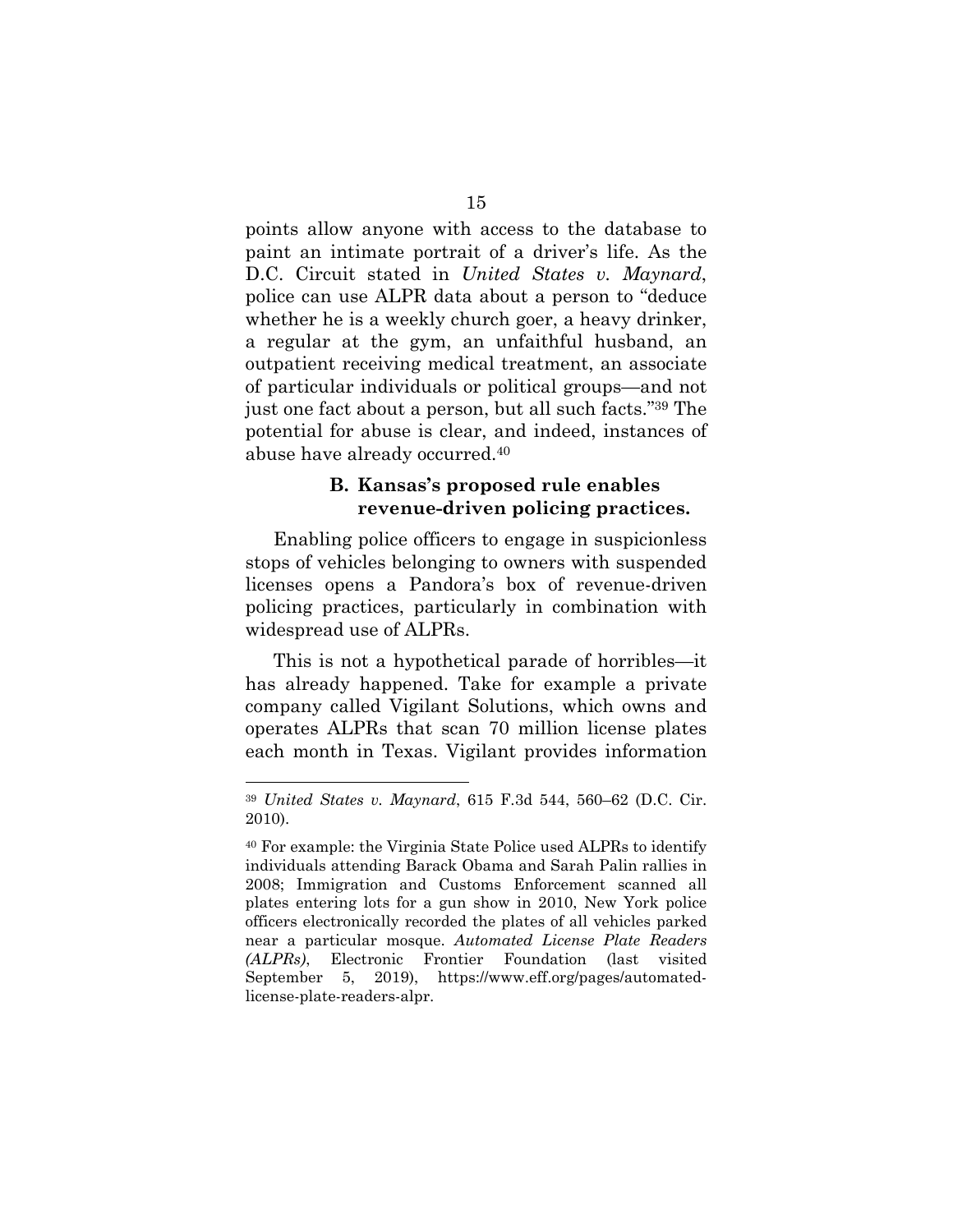points allow anyone with access to the database to paint an intimate portrait of a driver's life. As the D.C. Circuit stated in *United States v. Maynard*, police can use ALPR data about a person to "deduce whether he is a weekly church goer, a heavy drinker, a regular at the gym, an unfaithful husband, an outpatient receiving medical treatment, an associate of particular individuals or political groups—and not just one fact about a person, but all such facts."39 The potential for abuse is clear, and indeed, instances of abuse have already occurred.40

#### **B. Kansas's proposed rule enables revenue-driven policing practices.**

Enabling police officers to engage in suspicionless stops of vehicles belonging to owners with suspended licenses opens a Pandora's box of revenue-driven policing practices, particularly in combination with widespread use of ALPRs.

This is not a hypothetical parade of horribles—it has already happened. Take for example a private company called Vigilant Solutions, which owns and operates ALPRs that scan 70 million license plates each month in Texas. Vigilant provides information

<sup>39</sup> *United States v. Maynard*, 615 F.3d 544, 560–62 (D.C. Cir. 2010).

<sup>40</sup> For example: the Virginia State Police used ALPRs to identify individuals attending Barack Obama and Sarah Palin rallies in 2008; Immigration and Customs Enforcement scanned all plates entering lots for a gun show in 2010, New York police officers electronically recorded the plates of all vehicles parked near a particular mosque. *Automated License Plate Readers (ALPRs)*, Electronic Frontier Foundation (last visited September 5, 2019), https://www.eff.org/pages/automatedlicense-plate-readers-alpr.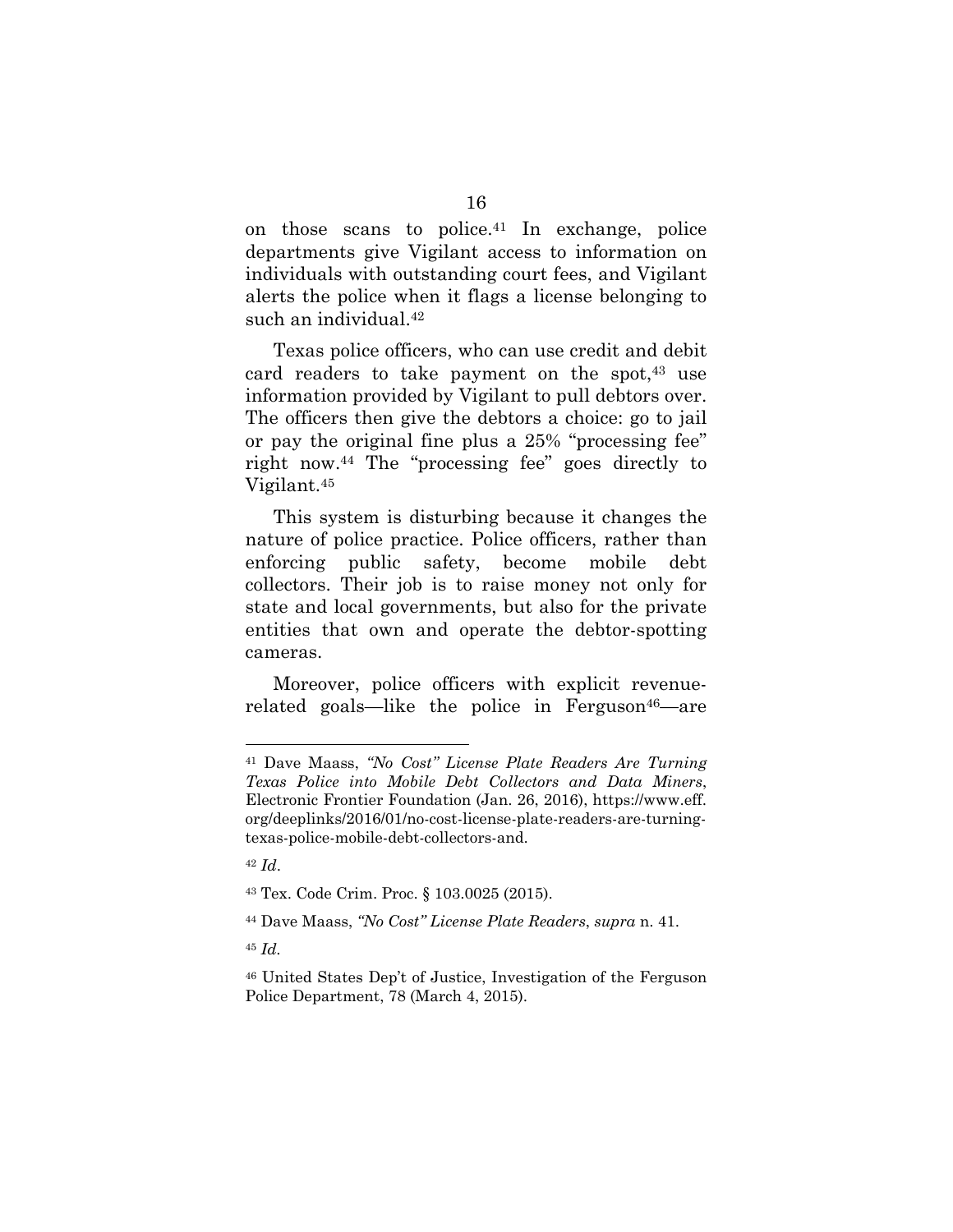on those scans to police.41 In exchange, police departments give Vigilant access to information on individuals with outstanding court fees, and Vigilant alerts the police when it flags a license belonging to such an individual.42

Texas police officers, who can use credit and debit card readers to take payment on the spot, $43$  use information provided by Vigilant to pull debtors over. The officers then give the debtors a choice: go to jail or pay the original fine plus a 25% "processing fee" right now.44 The "processing fee" goes directly to Vigilant.45

This system is disturbing because it changes the nature of police practice. Police officers, rather than enforcing public safety, become mobile debt collectors. Their job is to raise money not only for state and local governments, but also for the private entities that own and operate the debtor-spotting cameras.

Moreover, police officers with explicit revenuerelated goals—like the police in Ferguson $46$ —are

<sup>45</sup> *Id.*

<sup>41</sup> Dave Maass, *"No Cost" License Plate Readers Are Turning Texas Police into Mobile Debt Collectors and Data Miners*, Electronic Frontier Foundation (Jan. 26, 2016), https://www.eff. org/deeplinks/2016/01/no-cost-license-plate-readers-are-turningtexas-police-mobile-debt-collectors-and.

<sup>42</sup> *Id*.

<sup>43</sup> Tex. Code Crim. Proc. § 103.0025 (2015).

<sup>44</sup> Dave Maass, *"No Cost" License Plate Readers*, *supra* n. 41.

<sup>46</sup> United States Dep't of Justice, Investigation of the Ferguson Police Department, 78 (March 4, 2015).